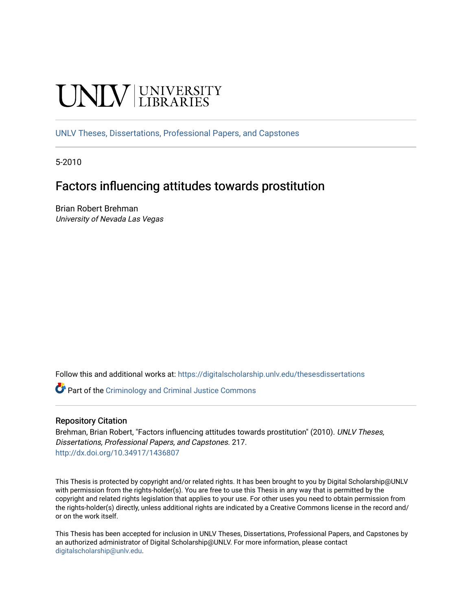# **UNIVERSITY**

[UNLV Theses, Dissertations, Professional Papers, and Capstones](https://digitalscholarship.unlv.edu/thesesdissertations)

5-2010

# Factors influencing attitudes towards prostitution

Brian Robert Brehman University of Nevada Las Vegas

Follow this and additional works at: [https://digitalscholarship.unlv.edu/thesesdissertations](https://digitalscholarship.unlv.edu/thesesdissertations?utm_source=digitalscholarship.unlv.edu%2Fthesesdissertations%2F217&utm_medium=PDF&utm_campaign=PDFCoverPages)

Part of the [Criminology and Criminal Justice Commons](http://network.bepress.com/hgg/discipline/367?utm_source=digitalscholarship.unlv.edu%2Fthesesdissertations%2F217&utm_medium=PDF&utm_campaign=PDFCoverPages)

## Repository Citation

Brehman, Brian Robert, "Factors influencing attitudes towards prostitution" (2010). UNLV Theses, Dissertations, Professional Papers, and Capstones. 217. <http://dx.doi.org/10.34917/1436807>

This Thesis is protected by copyright and/or related rights. It has been brought to you by Digital Scholarship@UNLV with permission from the rights-holder(s). You are free to use this Thesis in any way that is permitted by the copyright and related rights legislation that applies to your use. For other uses you need to obtain permission from the rights-holder(s) directly, unless additional rights are indicated by a Creative Commons license in the record and/ or on the work itself.

This Thesis has been accepted for inclusion in UNLV Theses, Dissertations, Professional Papers, and Capstones by an authorized administrator of Digital Scholarship@UNLV. For more information, please contact [digitalscholarship@unlv.edu](mailto:digitalscholarship@unlv.edu).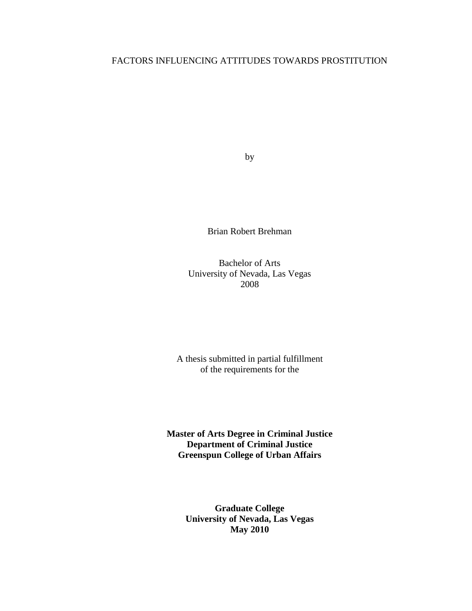# FACTORS INFLUENCING ATTITUDES TOWARDS PROSTITUTION

by

Brian Robert Brehman

Bachelor of Arts University of Nevada, Las Vegas 2008

A thesis submitted in partial fulfillment of the requirements for the

**Master of Arts Degree in Criminal Justice Department of Criminal Justice Greenspun College of Urban Affairs**

> **Graduate College University of Nevada, Las Vegas May 2010**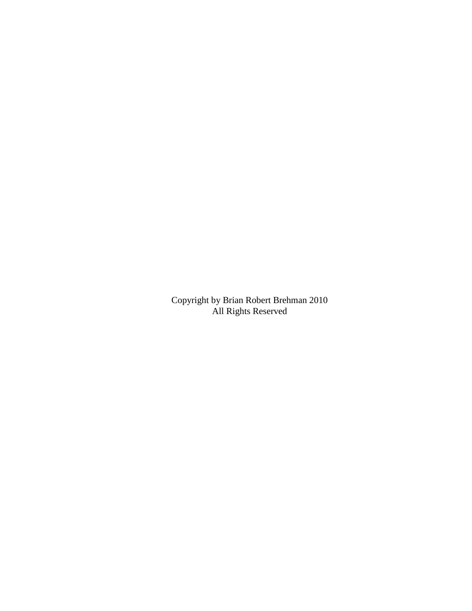Copyright by Brian Robert Brehman 2010 All Rights Reserved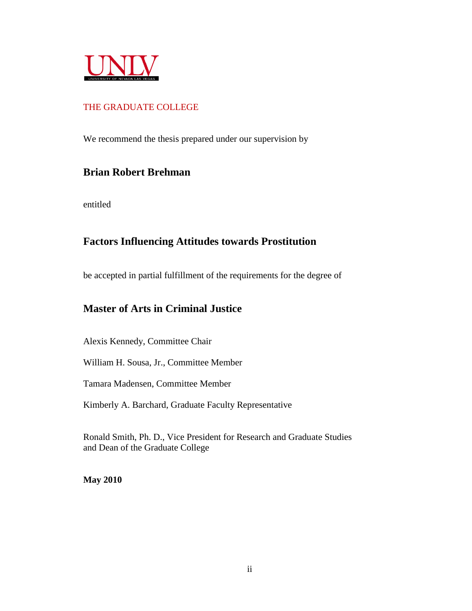

# THE GRADUATE COLLEGE

We recommend the thesis prepared under our supervision by

# **Brian Robert Brehman**

entitled

# **Factors Influencing Attitudes towards Prostitution**

be accepted in partial fulfillment of the requirements for the degree of

# **Master of Arts in Criminal Justice**

Alexis Kennedy, Committee Chair

William H. Sousa, Jr., Committee Member

Tamara Madensen, Committee Member

Kimberly A. Barchard, Graduate Faculty Representative

Ronald Smith, Ph. D., Vice President for Research and Graduate Studies and Dean of the Graduate College

**May 2010**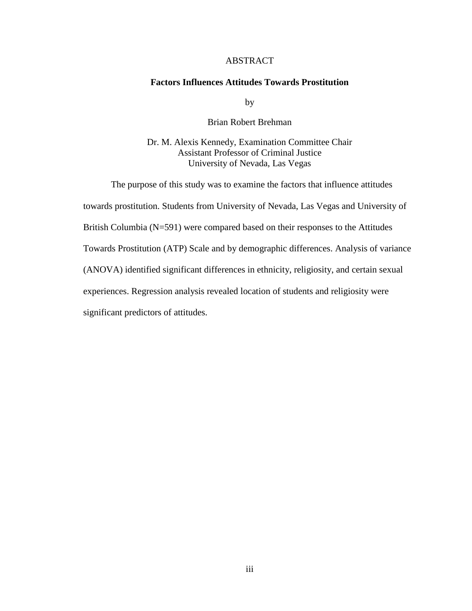# ABSTRACT

## <span id="page-4-0"></span>**Factors Influences Attitudes Towards Prostitution**

by

#### Brian Robert Brehman

# Dr. M. Alexis Kennedy, Examination Committee Chair Assistant Professor of Criminal Justice University of Nevada, Las Vegas

The purpose of this study was to examine the factors that influence attitudes towards prostitution. Students from University of Nevada, Las Vegas and University of British Columbia (N=591) were compared based on their responses to the Attitudes Towards Prostitution (ATP) Scale and by demographic differences. Analysis of variance (ANOVA) identified significant differences in ethnicity, religiosity, and certain sexual experiences. Regression analysis revealed location of students and religiosity were significant predictors of attitudes.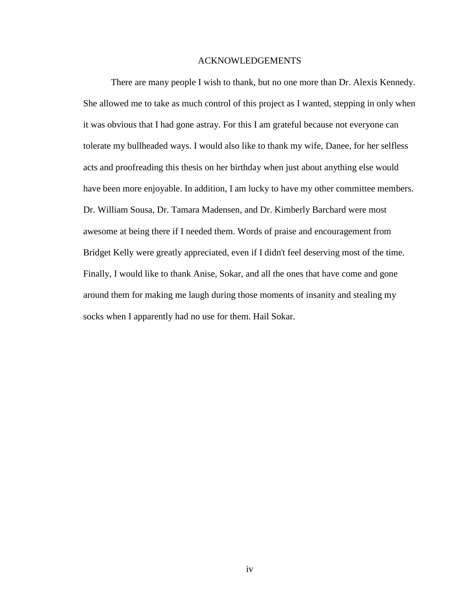## ACKNOWLEDGEMENTS

<span id="page-5-0"></span>There are many people I wish to thank, but no one more than Dr. Alexis Kennedy. She allowed me to take as much control of this project as I wanted, stepping in only when it was obvious that I had gone astray. For this I am grateful because not everyone can tolerate my bullheaded ways. I would also like to thank my wife, Danee, for her selfless acts and proofreading this thesis on her birthday when just about anything else would have been more enjoyable. In addition, I am lucky to have my other committee members. Dr. William Sousa, Dr. Tamara Madensen, and Dr. Kimberly Barchard were most awesome at being there if I needed them. Words of praise and encouragement from Bridget Kelly were greatly appreciated, even if I didn't feel deserving most of the time. Finally, I would like to thank Anise, Sokar, and all the ones that have come and gone around them for making me laugh during those moments of insanity and stealing my socks when I apparently had no use for them. Hail Sokar.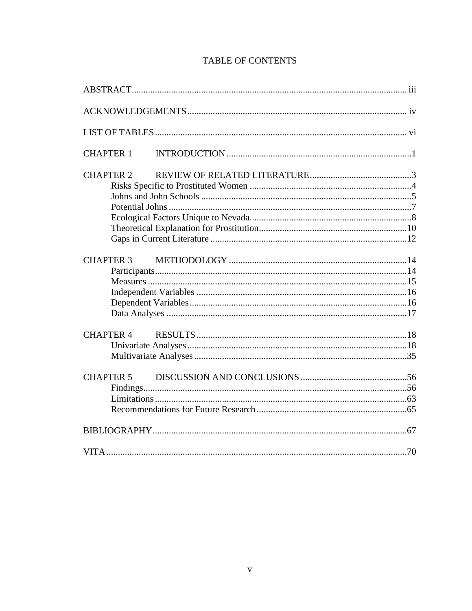| <b>CHAPTER 1</b> |  |
|------------------|--|
| <b>CHAPTER 2</b> |  |
|                  |  |
|                  |  |
|                  |  |
|                  |  |
|                  |  |
|                  |  |
| <b>CHAPTER 3</b> |  |
|                  |  |
|                  |  |
|                  |  |
|                  |  |
|                  |  |
| <b>CHAPTER 4</b> |  |
|                  |  |
|                  |  |
| <b>CHAPTER 5</b> |  |
|                  |  |
|                  |  |
|                  |  |
|                  |  |
|                  |  |

# **TABLE OF CONTENTS**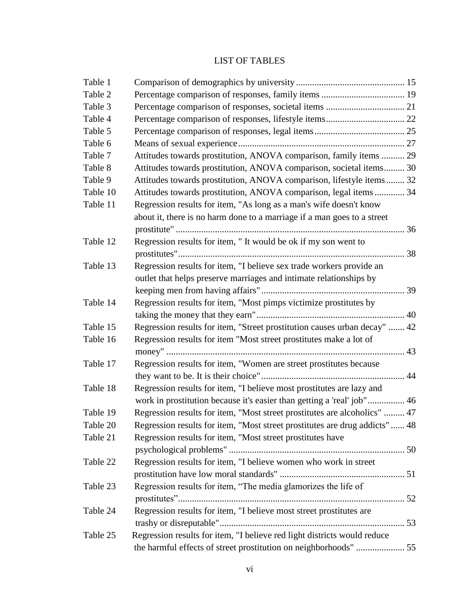# LIST OF TABLES

<span id="page-7-0"></span>

| Table 1  |                                                                             |  |
|----------|-----------------------------------------------------------------------------|--|
| Table 2  |                                                                             |  |
| Table 3  |                                                                             |  |
| Table 4  |                                                                             |  |
| Table 5  |                                                                             |  |
| Table 6  |                                                                             |  |
| Table 7  | Attitudes towards prostitution, ANOVA comparison, family items  29          |  |
| Table 8  | Attitudes towards prostitution, ANOVA comparison, societal items 30         |  |
| Table 9  | Attitudes towards prostitution, ANOVA comparison, lifestyle items 32        |  |
| Table 10 | Attitudes towards prostitution, ANOVA comparison, legal items  34           |  |
| Table 11 | Regression results for item, "As long as a man's wife doesn't know          |  |
|          | about it, there is no harm done to a marriage if a man goes to a street     |  |
|          |                                                                             |  |
| Table 12 | Regression results for item, "It would be ok if my son went to              |  |
|          |                                                                             |  |
| Table 13 | Regression results for item, "I believe sex trade workers provide an        |  |
|          | outlet that helps preserve marriages and intimate relationships by          |  |
|          |                                                                             |  |
| Table 14 | Regression results for item, "Most pimps victimize prostitutes by           |  |
|          |                                                                             |  |
| Table 15 | Regression results for item, "Street prostitution causes urban decay"  42   |  |
| Table 16 | Regression results for item "Most street prostitutes make a lot of          |  |
|          |                                                                             |  |
| Table 17 | Regression results for item, "Women are street prostitutes because          |  |
|          |                                                                             |  |
| Table 18 | Regression results for item, "I believe most prostitutes are lazy and       |  |
|          | work in prostitution because it's easier than getting a 'real' job" 46      |  |
| Table 19 | Regression results for item, "Most street prostitutes are alcoholics"  47   |  |
| Table 20 | Regression results for item, "Most street prostitutes are drug addicts"  48 |  |
| Table 21 | Regression results for item, "Most street prostitutes have                  |  |
|          |                                                                             |  |
| Table 22 | Regression results for item, "I believe women who work in street            |  |
|          |                                                                             |  |
| Table 23 | Regression results for item, "The media glamorizes the life of              |  |
|          |                                                                             |  |
| Table 24 | Regression results for item, "I believe most street prostitutes are         |  |
|          |                                                                             |  |
| Table 25 | Regression results for item, "I believe red light districts would reduce    |  |
|          | the harmful effects of street prostitution on neighborhoods"  55            |  |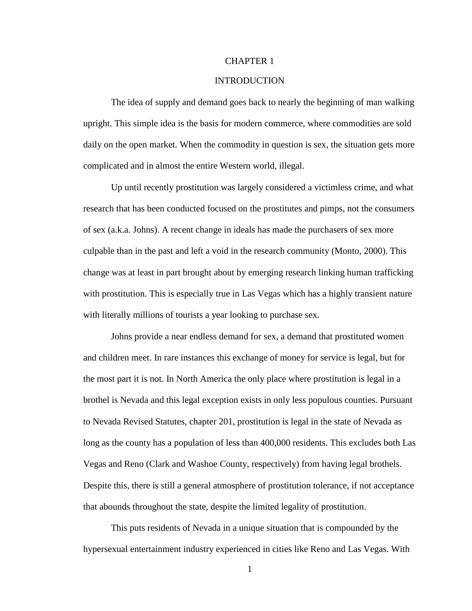#### <span id="page-8-0"></span>CHAPTER 1

# INTRODUCTION

The idea of supply and demand goes back to nearly the beginning of man walking upright. This simple idea is the basis for modern commerce, where commodities are sold daily on the open market. When the commodity in question is sex, the situation gets more complicated and in almost the entire Western world, illegal.

Up until recently prostitution was largely considered a victimless crime, and what research that has been conducted focused on the prostitutes and pimps, not the consumers of sex (a.k.a. Johns). A recent change in ideals has made the purchasers of sex more culpable than in the past and left a void in the research community (Monto, 2000). This change was at least in part brought about by emerging research linking human trafficking with prostitution. This is especially true in Las Vegas which has a highly transient nature with literally millions of tourists a year looking to purchase sex.

Johns provide a near endless demand for sex, a demand that prostituted women and children meet. In rare instances this exchange of money for service is legal, but for the most part it is not. In North America the only place where prostitution is legal in a brothel is Nevada and this legal exception exists in only less populous counties. Pursuant to Nevada Revised Statutes, chapter 201, prostitution is legal in the state of Nevada as long as the county has a population of less than 400,000 residents. This excludes both Las Vegas and Reno (Clark and Washoe County, respectively) from having legal brothels. Despite this, there is still a general atmosphere of prostitution tolerance, if not acceptance that abounds throughout the state, despite the limited legality of prostitution.

This puts residents of Nevada in a unique situation that is compounded by the hypersexual entertainment industry experienced in cities like Reno and Las Vegas. With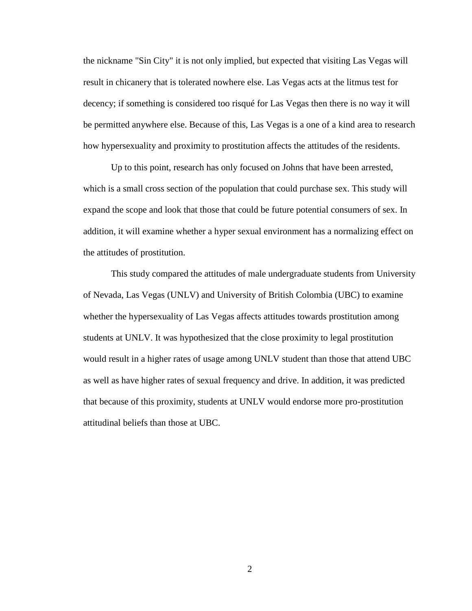the nickname "Sin City" it is not only implied, but expected that visiting Las Vegas will result in chicanery that is tolerated nowhere else. Las Vegas acts at the litmus test for decency; if something is considered too risqué for Las Vegas then there is no way it will be permitted anywhere else. Because of this, Las Vegas is a one of a kind area to research how hypersexuality and proximity to prostitution affects the attitudes of the residents.

Up to this point, research has only focused on Johns that have been arrested, which is a small cross section of the population that could purchase sex. This study will expand the scope and look that those that could be future potential consumers of sex. In addition, it will examine whether a hyper sexual environment has a normalizing effect on the attitudes of prostitution.

This study compared the attitudes of male undergraduate students from University of Nevada, Las Vegas (UNLV) and University of British Colombia (UBC) to examine whether the hypersexuality of Las Vegas affects attitudes towards prostitution among students at UNLV. It was hypothesized that the close proximity to legal prostitution would result in a higher rates of usage among UNLV student than those that attend UBC as well as have higher rates of sexual frequency and drive. In addition, it was predicted that because of this proximity, students at UNLV would endorse more pro-prostitution attitudinal beliefs than those at UBC.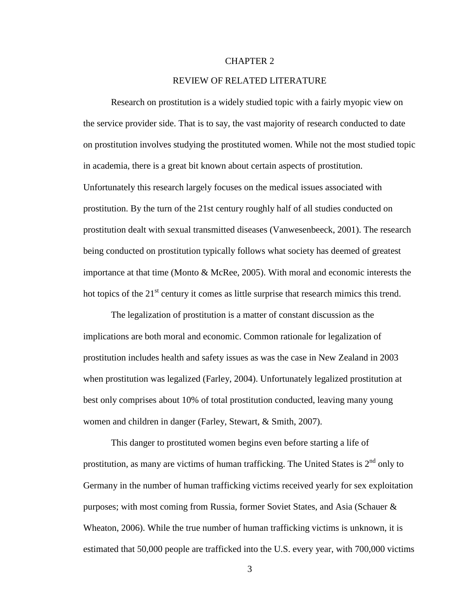#### CHAPTER 2

# REVIEW OF RELATED LITERATURE

<span id="page-10-0"></span>Research on prostitution is a widely studied topic with a fairly myopic view on the service provider side. That is to say, the vast majority of research conducted to date on prostitution involves studying the prostituted women. While not the most studied topic in academia, there is a great bit known about certain aspects of prostitution. Unfortunately this research largely focuses on the medical issues associated with prostitution. By the turn of the 21st century roughly half of all studies conducted on prostitution dealt with sexual transmitted diseases (Vanwesenbeeck, 2001). The research being conducted on prostitution typically follows what society has deemed of greatest importance at that time (Monto & McRee, 2005). With moral and economic interests the hot topics of the  $21<sup>st</sup>$  century it comes as little surprise that research mimics this trend.

The legalization of prostitution is a matter of constant discussion as the implications are both moral and economic. Common rationale for legalization of prostitution includes health and safety issues as was the case in New Zealand in 2003 when prostitution was legalized (Farley, 2004). Unfortunately legalized prostitution at best only comprises about 10% of total prostitution conducted, leaving many young women and children in danger (Farley, Stewart, & Smith, 2007).

This danger to prostituted women begins even before starting a life of prostitution, as many are victims of human trafficking. The United States is  $2<sup>nd</sup>$  only to Germany in the number of human trafficking victims received yearly for sex exploitation purposes; with most coming from Russia, former Soviet States, and Asia (Schauer & Wheaton, 2006). While the true number of human trafficking victims is unknown, it is estimated that 50,000 people are trafficked into the U.S. every year, with 700,000 victims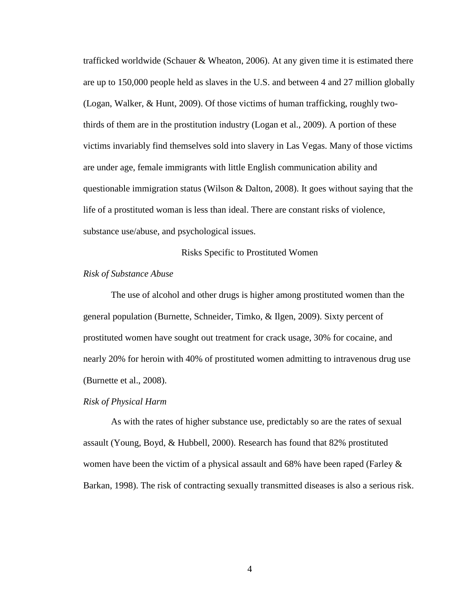trafficked worldwide (Schauer & Wheaton, 2006). At any given time it is estimated there are up to 150,000 people held as slaves in the U.S. and between 4 and 27 million globally (Logan, Walker, & Hunt, 2009). Of those victims of human trafficking, roughly twothirds of them are in the prostitution industry (Logan et al., 2009). A portion of these victims invariably find themselves sold into slavery in Las Vegas. Many of those victims are under age, female immigrants with little English communication ability and questionable immigration status (Wilson & Dalton, 2008). It goes without saying that the life of a prostituted woman is less than ideal. There are constant risks of violence, substance use/abuse, and psychological issues.

Risks Specific to Prostituted Women

#### <span id="page-11-0"></span>*Risk of Substance Abuse*

The use of alcohol and other drugs is higher among prostituted women than the general population (Burnette, Schneider, Timko, & Ilgen, 2009). Sixty percent of prostituted women have sought out treatment for crack usage, 30% for cocaine, and nearly 20% for heroin with 40% of prostituted women admitting to intravenous drug use (Burnette et al., 2008).

#### *Risk of Physical Harm*

As with the rates of higher substance use, predictably so are the rates of sexual assault (Young, Boyd, & Hubbell, 2000). Research has found that 82% prostituted women have been the victim of a physical assault and 68% have been raped (Farley  $\&$ Barkan, 1998). The risk of contracting sexually transmitted diseases is also a serious risk.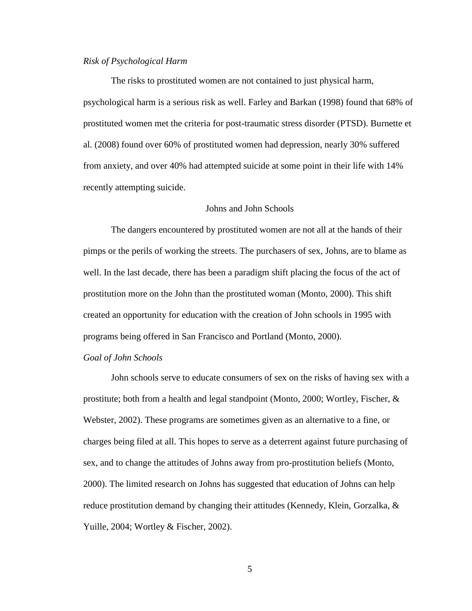## *Risk of Psychological Harm*

The risks to prostituted women are not contained to just physical harm, psychological harm is a serious risk as well. Farley and Barkan (1998) found that 68% of prostituted women met the criteria for post-traumatic stress disorder (PTSD). Burnette et al. (2008) found over 60% of prostituted women had depression, nearly 30% suffered from anxiety, and over 40% had attempted suicide at some point in their life with 14% recently attempting suicide.

## Johns and John Schools

<span id="page-12-0"></span>The dangers encountered by prostituted women are not all at the hands of their pimps or the perils of working the streets. The purchasers of sex, Johns, are to blame as well. In the last decade, there has been a paradigm shift placing the focus of the act of prostitution more on the John than the prostituted woman (Monto, 2000). This shift created an opportunity for education with the creation of John schools in 1995 with programs being offered in San Francisco and Portland (Monto, 2000).

#### *Goal of John Schools*

John schools serve to educate consumers of sex on the risks of having sex with a prostitute; both from a health and legal standpoint (Monto, 2000; Wortley, Fischer, & Webster, 2002). These programs are sometimes given as an alternative to a fine, or charges being filed at all. This hopes to serve as a deterrent against future purchasing of sex, and to change the attitudes of Johns away from pro-prostitution beliefs (Monto, 2000). The limited research on Johns has suggested that education of Johns can help reduce prostitution demand by changing their attitudes (Kennedy, Klein, Gorzalka, & Yuille, 2004; Wortley & Fischer, 2002).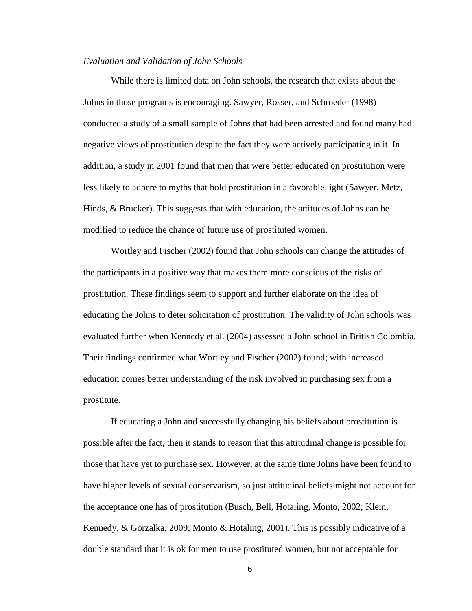#### *Evaluation and Validation of John Schools*

While there is limited data on John schools, the research that exists about the Johns in those programs is encouraging. Sawyer, Rosser, and Schroeder (1998) conducted a study of a small sample of Johns that had been arrested and found many had negative views of prostitution despite the fact they were actively participating in it. In addition, a study in 2001 found that men that were better educated on prostitution were less likely to adhere to myths that hold prostitution in a favorable light (Sawyer, Metz, Hinds, & Brucker). This suggests that with education, the attitudes of Johns can be modified to reduce the chance of future use of prostituted women.

Wortley and Fischer (2002) found that John schools can change the attitudes of the participants in a positive way that makes them more conscious of the risks of prostitution. These findings seem to support and further elaborate on the idea of educating the Johns to deter solicitation of prostitution. The validity of John schools was evaluated further when Kennedy et al. (2004) assessed a John school in British Colombia. Their findings confirmed what Wortley and Fischer (2002) found; with increased education comes better understanding of the risk involved in purchasing sex from a prostitute.

If educating a John and successfully changing his beliefs about prostitution is possible after the fact, then it stands to reason that this attitudinal change is possible for those that have yet to purchase sex. However, at the same time Johns have been found to have higher levels of sexual conservatism, so just attitudinal beliefs might not account for the acceptance one has of prostitution (Busch, Bell, Hotaling, Monto, 2002; Klein, Kennedy, & Gorzalka, 2009; Monto & Hotaling, 2001). This is possibly indicative of a double standard that it is ok for men to use prostituted women, but not acceptable for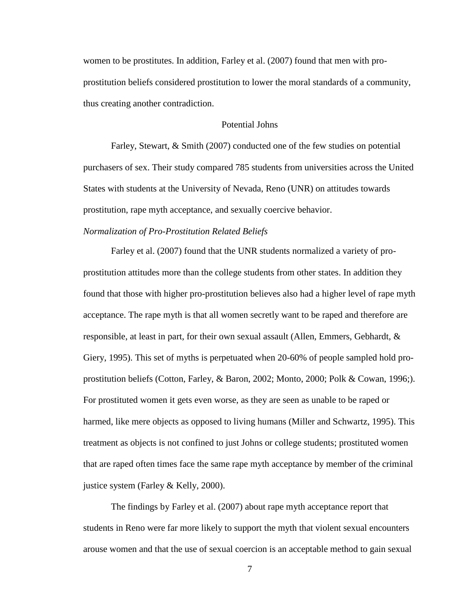women to be prostitutes. In addition, Farley et al. (2007) found that men with proprostitution beliefs considered prostitution to lower the moral standards of a community, thus creating another contradiction.

## Potential Johns

<span id="page-14-0"></span>Farley, Stewart, & Smith (2007) conducted one of the few studies on potential purchasers of sex. Their study compared 785 students from universities across the United States with students at the University of Nevada, Reno (UNR) on attitudes towards prostitution, rape myth acceptance, and sexually coercive behavior.

## *Normalization of Pro-Prostitution Related Beliefs*

Farley et al. (2007) found that the UNR students normalized a variety of proprostitution attitudes more than the college students from other states. In addition they found that those with higher pro-prostitution believes also had a higher level of rape myth acceptance. The rape myth is that all women secretly want to be raped and therefore are responsible, at least in part, for their own sexual assault (Allen, Emmers, Gebhardt, & Giery, 1995). This set of myths is perpetuated when 20-60% of people sampled hold proprostitution beliefs (Cotton, Farley, & Baron, 2002; Monto, 2000; Polk & Cowan, 1996;). For prostituted women it gets even worse, as they are seen as unable to be raped or harmed, like mere objects as opposed to living humans (Miller and Schwartz, 1995). This treatment as objects is not confined to just Johns or college students; prostituted women that are raped often times face the same rape myth acceptance by member of the criminal justice system (Farley & Kelly, 2000).

The findings by Farley et al. (2007) about rape myth acceptance report that students in Reno were far more likely to support the myth that violent sexual encounters arouse women and that the use of sexual coercion is an acceptable method to gain sexual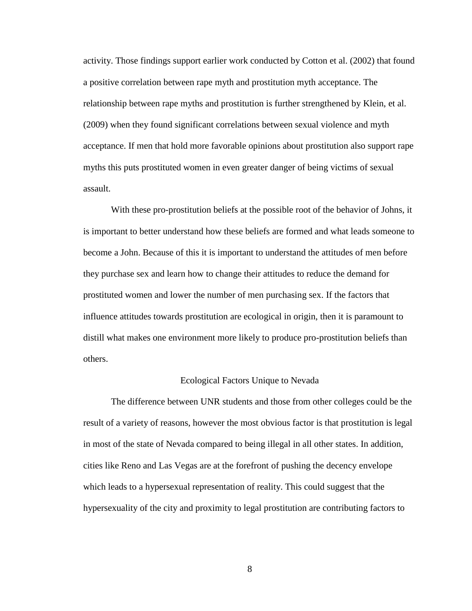activity. Those findings support earlier work conducted by Cotton et al. (2002) that found a positive correlation between rape myth and prostitution myth acceptance. The relationship between rape myths and prostitution is further strengthened by Klein, et al. (2009) when they found significant correlations between sexual violence and myth acceptance. If men that hold more favorable opinions about prostitution also support rape myths this puts prostituted women in even greater danger of being victims of sexual assault.

With these pro-prostitution beliefs at the possible root of the behavior of Johns, it is important to better understand how these beliefs are formed and what leads someone to become a John. Because of this it is important to understand the attitudes of men before they purchase sex and learn how to change their attitudes to reduce the demand for prostituted women and lower the number of men purchasing sex. If the factors that influence attitudes towards prostitution are ecological in origin, then it is paramount to distill what makes one environment more likely to produce pro-prostitution beliefs than others.

#### Ecological Factors Unique to Nevada

<span id="page-15-0"></span>The difference between UNR students and those from other colleges could be the result of a variety of reasons, however the most obvious factor is that prostitution is legal in most of the state of Nevada compared to being illegal in all other states. In addition, cities like Reno and Las Vegas are at the forefront of pushing the decency envelope which leads to a hypersexual representation of reality. This could suggest that the hypersexuality of the city and proximity to legal prostitution are contributing factors to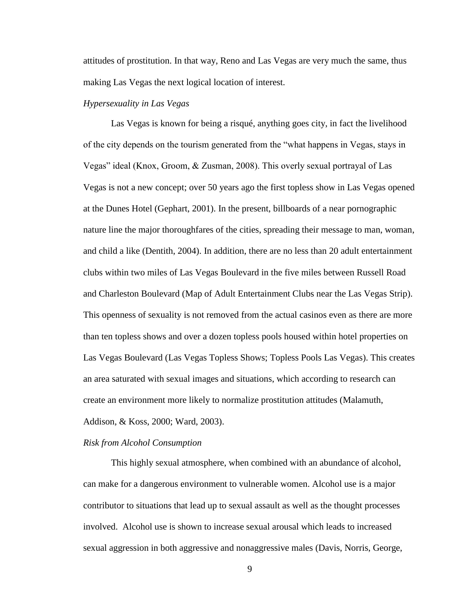attitudes of prostitution. In that way, Reno and Las Vegas are very much the same, thus making Las Vegas the next logical location of interest.

## *Hypersexuality in Las Vegas*

Las Vegas is known for being a risqué, anything goes city, in fact the livelihood of the city depends on the tourism generated from the "what happens in Vegas, stays in Vegas" ideal (Knox, Groom, & Zusman, 2008). This overly sexual portrayal of Las Vegas is not a new concept; over 50 years ago the first topless show in Las Vegas opened at the Dunes Hotel (Gephart, 2001). In the present, billboards of a near pornographic nature line the major thoroughfares of the cities, spreading their message to man, woman, and child a like (Dentith, 2004). In addition, there are no less than 20 adult entertainment clubs within two miles of Las Vegas Boulevard in the five miles between Russell Road and Charleston Boulevard (Map of Adult Entertainment Clubs near the Las Vegas Strip). This openness of sexuality is not removed from the actual casinos even as there are more than ten topless shows and over a dozen topless pools housed within hotel properties on Las Vegas Boulevard (Las Vegas Topless Shows; Topless Pools Las Vegas). This creates an area saturated with sexual images and situations, which according to research can create an environment more likely to normalize prostitution attitudes (Malamuth, Addison, & Koss, 2000; Ward, 2003).

#### *Risk from Alcohol Consumption*

This highly sexual atmosphere, when combined with an abundance of alcohol, can make for a dangerous environment to vulnerable women. Alcohol use is a major contributor to situations that lead up to sexual assault as well as the thought processes involved. Alcohol use is shown to increase sexual arousal which leads to increased sexual aggression in both aggressive and nonaggressive males (Davis, Norris, George,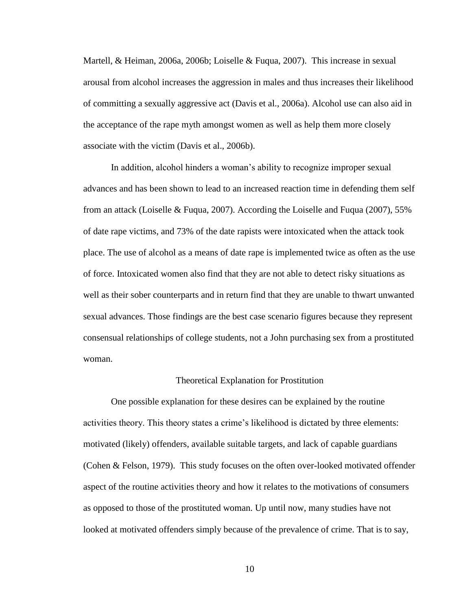Martell, & Heiman, 2006a, 2006b; Loiselle & Fuqua, 2007). This increase in sexual arousal from alcohol increases the aggression in males and thus increases their likelihood of committing a sexually aggressive act (Davis et al., 2006a). Alcohol use can also aid in the acceptance of the rape myth amongst women as well as help them more closely associate with the victim (Davis et al., 2006b).

In addition, alcohol hinders a woman's ability to recognize improper sexual advances and has been shown to lead to an increased reaction time in defending them self from an attack (Loiselle & Fuqua, 2007). According the Loiselle and Fuqua (2007), 55% of date rape victims, and 73% of the date rapists were intoxicated when the attack took place. The use of alcohol as a means of date rape is implemented twice as often as the use of force. Intoxicated women also find that they are not able to detect risky situations as well as their sober counterparts and in return find that they are unable to thwart unwanted sexual advances. Those findings are the best case scenario figures because they represent consensual relationships of college students, not a John purchasing sex from a prostituted woman.

#### Theoretical Explanation for Prostitution

<span id="page-17-0"></span>One possible explanation for these desires can be explained by the routine activities theory. This theory states a crime's likelihood is dictated by three elements: motivated (likely) offenders, available suitable targets, and lack of capable guardians (Cohen & Felson, 1979). This study focuses on the often over-looked motivated offender aspect of the routine activities theory and how it relates to the motivations of consumers as opposed to those of the prostituted woman. Up until now, many studies have not looked at motivated offenders simply because of the prevalence of crime. That is to say,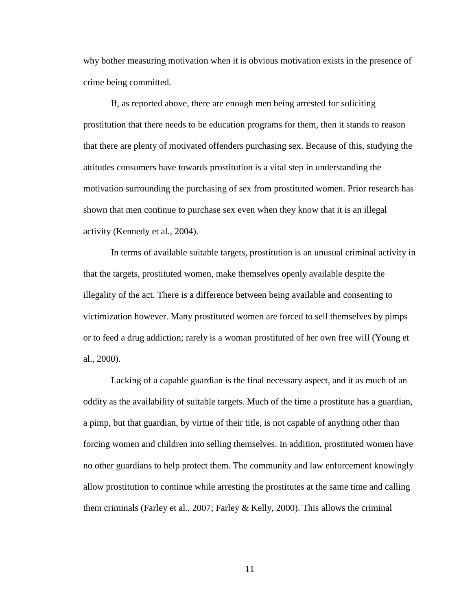why bother measuring motivation when it is obvious motivation exists in the presence of crime being committed.

If, as reported above, there are enough men being arrested for soliciting prostitution that there needs to be education programs for them, then it stands to reason that there are plenty of motivated offenders purchasing sex. Because of this, studying the attitudes consumers have towards prostitution is a vital step in understanding the motivation surrounding the purchasing of sex from prostituted women. Prior research has shown that men continue to purchase sex even when they know that it is an illegal activity (Kennedy et al., 2004).

In terms of available suitable targets, prostitution is an unusual criminal activity in that the targets, prostituted women, make themselves openly available despite the illegality of the act. There is a difference between being available and consenting to victimization however. Many prostituted women are forced to sell themselves by pimps or to feed a drug addiction; rarely is a woman prostituted of her own free will (Young et al., 2000).

Lacking of a capable guardian is the final necessary aspect, and it as much of an oddity as the availability of suitable targets. Much of the time a prostitute has a guardian, a pimp, but that guardian, by virtue of their title, is not capable of anything other than forcing women and children into selling themselves. In addition, prostituted women have no other guardians to help protect them. The community and law enforcement knowingly allow prostitution to continue while arresting the prostitutes at the same time and calling them criminals (Farley et al., 2007; Farley & Kelly, 2000). This allows the criminal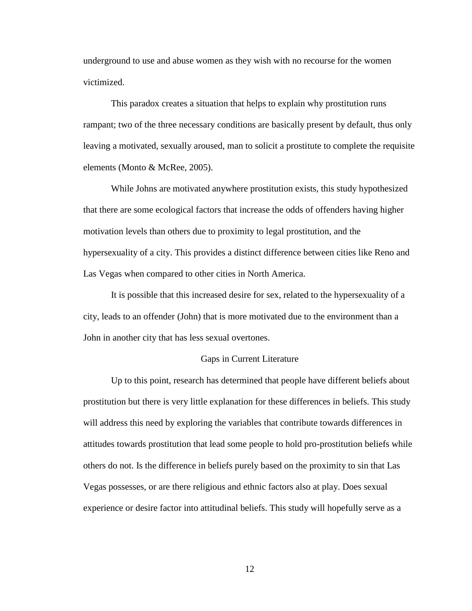underground to use and abuse women as they wish with no recourse for the women victimized.

This paradox creates a situation that helps to explain why prostitution runs rampant; two of the three necessary conditions are basically present by default, thus only leaving a motivated, sexually aroused, man to solicit a prostitute to complete the requisite elements (Monto & McRee, 2005).

While Johns are motivated anywhere prostitution exists, this study hypothesized that there are some ecological factors that increase the odds of offenders having higher motivation levels than others due to proximity to legal prostitution, and the hypersexuality of a city. This provides a distinct difference between cities like Reno and Las Vegas when compared to other cities in North America.

It is possible that this increased desire for sex, related to the hypersexuality of a city, leads to an offender (John) that is more motivated due to the environment than a John in another city that has less sexual overtones.

# Gaps in Current Literature

<span id="page-19-0"></span>Up to this point, research has determined that people have different beliefs about prostitution but there is very little explanation for these differences in beliefs. This study will address this need by exploring the variables that contribute towards differences in attitudes towards prostitution that lead some people to hold pro-prostitution beliefs while others do not. Is the difference in beliefs purely based on the proximity to sin that Las Vegas possesses, or are there religious and ethnic factors also at play. Does sexual experience or desire factor into attitudinal beliefs. This study will hopefully serve as a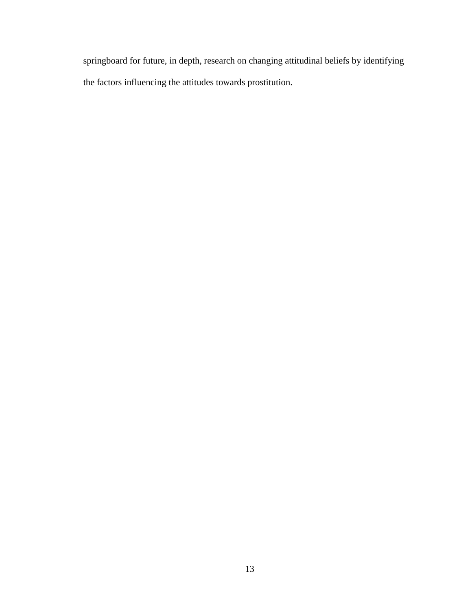springboard for future, in depth, research on changing attitudinal beliefs by identifying the factors influencing the attitudes towards prostitution.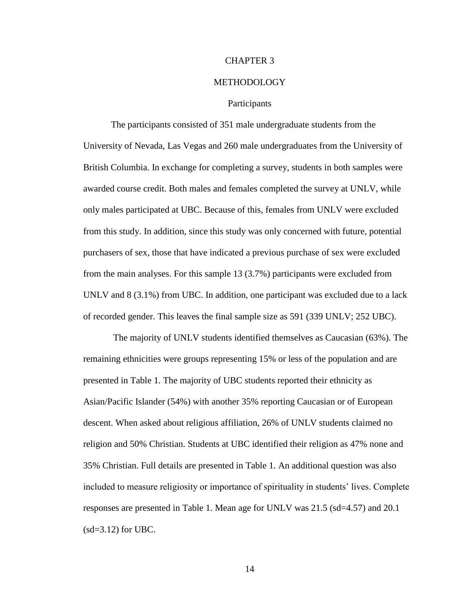#### CHAPTER 3

#### METHODOLOGY

### **Participants**

<span id="page-21-1"></span><span id="page-21-0"></span>The participants consisted of 351 male undergraduate students from the University of Nevada, Las Vegas and 260 male undergraduates from the University of British Columbia. In exchange for completing a survey, students in both samples were awarded course credit. Both males and females completed the survey at UNLV, while only males participated at UBC. Because of this, females from UNLV were excluded from this study. In addition, since this study was only concerned with future, potential purchasers of sex, those that have indicated a previous purchase of sex were excluded from the main analyses. For this sample 13 (3.7%) participants were excluded from UNLV and 8 (3.1%) from UBC. In addition, one participant was excluded due to a lack of recorded gender. This leaves the final sample size as 591 (339 UNLV; 252 UBC).

The majority of UNLV students identified themselves as Caucasian (63%). The remaining ethnicities were groups representing 15% or less of the population and are presented in Table 1. The majority of UBC students reported their ethnicity as Asian/Pacific Islander (54%) with another 35% reporting Caucasian or of European descent. When asked about religious affiliation, 26% of UNLV students claimed no religion and 50% Christian. Students at UBC identified their religion as 47% none and 35% Christian. Full details are presented in Table 1. An additional question was also included to measure religiosity or importance of spirituality in students' lives. Complete responses are presented in Table 1. Mean age for UNLV was 21.5 (sd=4.57) and 20.1  $(sd=3.12)$  for UBC.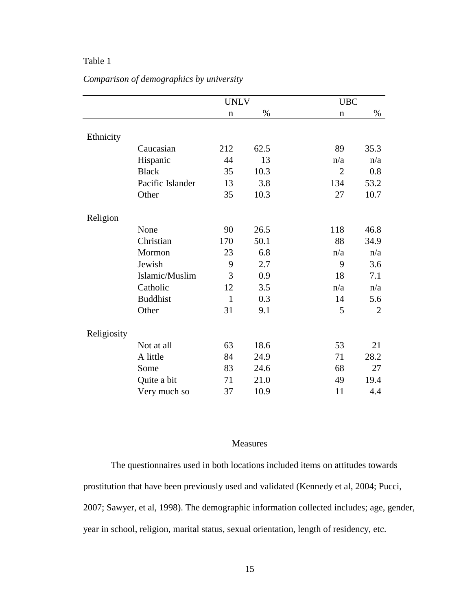# <span id="page-22-1"></span>Table 1

|             |                  | <b>UNLV</b>  |      | <b>UBC</b>     |                |
|-------------|------------------|--------------|------|----------------|----------------|
|             |                  | $\mathbf n$  | $\%$ | $\mathbf n$    | $\%$           |
|             |                  |              |      |                |                |
| Ethnicity   |                  |              |      |                |                |
|             | Caucasian        | 212          | 62.5 | 89             | 35.3           |
|             | Hispanic         | 44           | 13   | n/a            | n/a            |
|             | <b>Black</b>     | 35           | 10.3 | $\overline{2}$ | 0.8            |
|             | Pacific Islander | 13           | 3.8  | 134            | 53.2           |
|             | Other            | 35           | 10.3 | 27             | 10.7           |
|             |                  |              |      |                |                |
| Religion    |                  |              |      |                |                |
|             | None             | 90           | 26.5 | 118            | 46.8           |
|             | Christian        | 170          | 50.1 | 88             | 34.9           |
|             | Mormon           | 23           | 6.8  | n/a            | n/a            |
|             | Jewish           | 9            | 2.7  | 9              | 3.6            |
|             | Islamic/Muslim   | 3            | 0.9  | 18             | 7.1            |
|             | Catholic         | 12           | 3.5  | n/a            | n/a            |
|             | <b>Buddhist</b>  | $\mathbf{1}$ | 0.3  | 14             | 5.6            |
|             | Other            | 31           | 9.1  | 5              | $\overline{2}$ |
|             |                  |              |      |                |                |
| Religiosity |                  |              |      |                |                |
|             | Not at all       | 63           | 18.6 | 53             | 21             |
|             | A little         | 84           | 24.9 | 71             | 28.2           |
|             | Some             | 83           | 24.6 | 68             | 27             |
|             | Quite a bit      | 71           | 21.0 | 49             | 19.4           |
|             | Very much so     | 37           | 10.9 | 11             | 4.4            |

# *Comparison of demographics by university*

# Measures

<span id="page-22-0"></span>The questionnaires used in both locations included items on attitudes towards prostitution that have been previously used and validated (Kennedy et al, 2004; Pucci, 2007; Sawyer, et al, 1998). The demographic information collected includes; age, gender, year in school, religion, marital status, sexual orientation, length of residency, etc.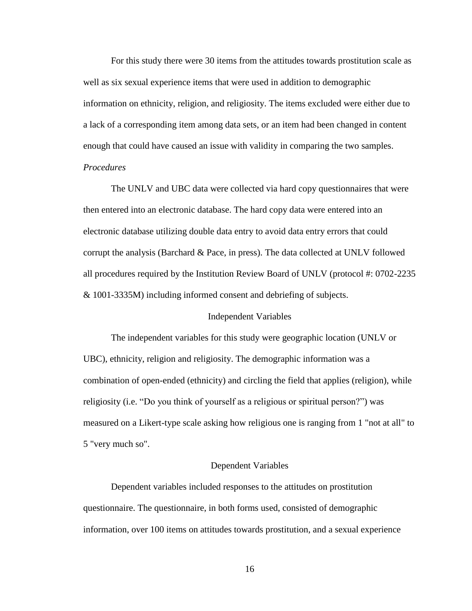For this study there were 30 items from the attitudes towards prostitution scale as well as six sexual experience items that were used in addition to demographic information on ethnicity, religion, and religiosity. The items excluded were either due to a lack of a corresponding item among data sets, or an item had been changed in content enough that could have caused an issue with validity in comparing the two samples. *Procedures*

The UNLV and UBC data were collected via hard copy questionnaires that were then entered into an electronic database. The hard copy data were entered into an electronic database utilizing double data entry to avoid data entry errors that could corrupt the analysis (Barchard & Pace, in press). The data collected at UNLV followed all procedures required by the Institution Review Board of UNLV (protocol #: 0702-2235 & 1001-3335M) including informed consent and debriefing of subjects.

#### Independent Variables

<span id="page-23-0"></span>The independent variables for this study were geographic location (UNLV or UBC), ethnicity, religion and religiosity. The demographic information was a combination of open-ended (ethnicity) and circling the field that applies (religion), while religiosity (i.e. "Do you think of yourself as a religious or spiritual person?") was measured on a Likert-type scale asking how religious one is ranging from 1 "not at all" to 5 "very much so".

#### <span id="page-23-1"></span>Dependent Variables

Dependent variables included responses to the attitudes on prostitution questionnaire. The questionnaire, in both forms used, consisted of demographic information, over 100 items on attitudes towards prostitution, and a sexual experience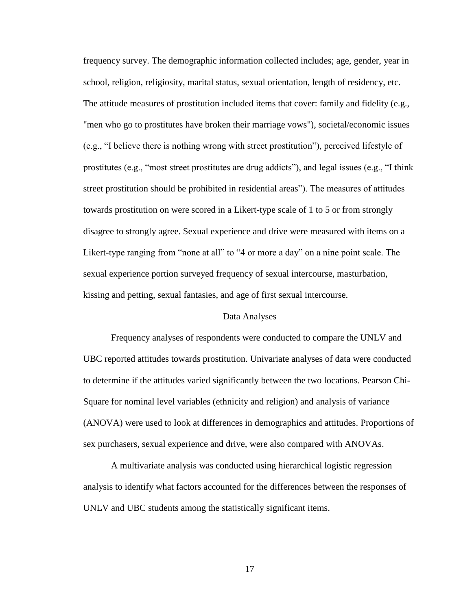frequency survey. The demographic information collected includes; age, gender, year in school, religion, religiosity, marital status, sexual orientation, length of residency, etc. The attitude measures of prostitution included items that cover: family and fidelity (e.g., "men who go to prostitutes have broken their marriage vows"), societal/economic issues (e.g., "I believe there is nothing wrong with street prostitution"), perceived lifestyle of prostitutes (e.g., "most street prostitutes are drug addicts"), and legal issues (e.g., "I think street prostitution should be prohibited in residential areas"). The measures of attitudes towards prostitution on were scored in a Likert-type scale of 1 to 5 or from strongly disagree to strongly agree. Sexual experience and drive were measured with items on a Likert-type ranging from "none at all" to "4 or more a day" on a nine point scale. The sexual experience portion surveyed frequency of sexual intercourse, masturbation, kissing and petting, sexual fantasies, and age of first sexual intercourse.

## Data Analyses

<span id="page-24-0"></span>Frequency analyses of respondents were conducted to compare the UNLV and UBC reported attitudes towards prostitution. Univariate analyses of data were conducted to determine if the attitudes varied significantly between the two locations. Pearson Chi-Square for nominal level variables (ethnicity and religion) and analysis of variance (ANOVA) were used to look at differences in demographics and attitudes. Proportions of sex purchasers, sexual experience and drive, were also compared with ANOVAs.

A multivariate analysis was conducted using hierarchical logistic regression analysis to identify what factors accounted for the differences between the responses of UNLV and UBC students among the statistically significant items.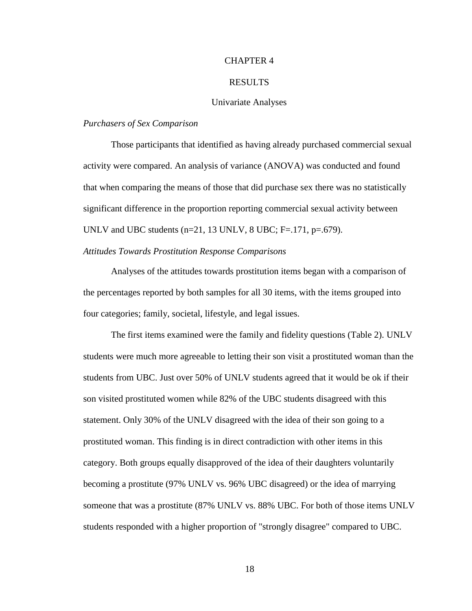## CHAPTER 4

#### RESULTS

## Univariate Analyses

## <span id="page-25-1"></span><span id="page-25-0"></span>*Purchasers of Sex Comparison*

Those participants that identified as having already purchased commercial sexual activity were compared. An analysis of variance (ANOVA) was conducted and found that when comparing the means of those that did purchase sex there was no statistically significant difference in the proportion reporting commercial sexual activity between UNLV and UBC students  $(n=21, 13 \text{ UNLV}, 8 \text{ UBC}; F=.171, p=.679)$ .

# *Attitudes Towards Prostitution Response Comparisons*

Analyses of the attitudes towards prostitution items began with a comparison of the percentages reported by both samples for all 30 items, with the items grouped into four categories; family, societal, lifestyle, and legal issues.

The first items examined were the family and fidelity questions (Table 2). UNLV students were much more agreeable to letting their son visit a prostituted woman than the students from UBC. Just over 50% of UNLV students agreed that it would be ok if their son visited prostituted women while 82% of the UBC students disagreed with this statement. Only 30% of the UNLV disagreed with the idea of their son going to a prostituted woman. This finding is in direct contradiction with other items in this category. Both groups equally disapproved of the idea of their daughters voluntarily becoming a prostitute (97% UNLV vs. 96% UBC disagreed) or the idea of marrying someone that was a prostitute (87% UNLV vs. 88% UBC. For both of those items UNLV students responded with a higher proportion of "strongly disagree" compared to UBC.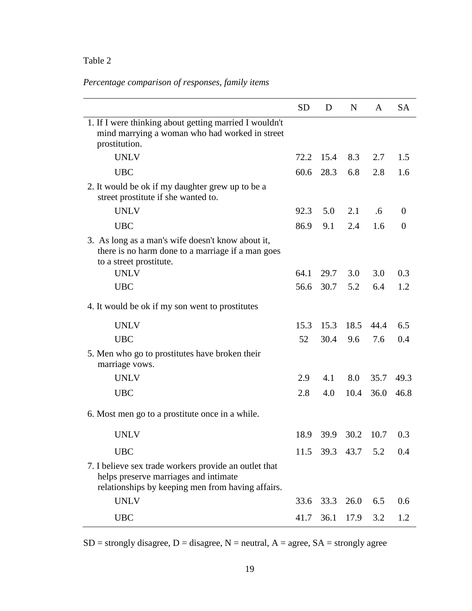# <span id="page-26-0"></span>Table 2

# *Percentage comparison of responses, family items*

|                                                                                                                                                     | <b>SD</b> | D                  | $\mathbf N$ | A    | <b>SA</b>      |
|-----------------------------------------------------------------------------------------------------------------------------------------------------|-----------|--------------------|-------------|------|----------------|
| 1. If I were thinking about getting married I wouldn't<br>mind marrying a woman who had worked in street<br>prostitution.                           |           |                    |             |      |                |
| <b>UNLV</b>                                                                                                                                         | 72.2      | 15.4               | 8.3         | 2.7  | 1.5            |
| <b>UBC</b>                                                                                                                                          | 60.6      | 28.3               | 6.8         | 2.8  | 1.6            |
| 2. It would be ok if my daughter grew up to be a<br>street prostitute if she wanted to.                                                             |           |                    |             |      |                |
| <b>UNLV</b>                                                                                                                                         | 92.3      | 5.0                | 2.1         | .6   | $\overline{0}$ |
| <b>UBC</b>                                                                                                                                          | 86.9      | 9.1                | 2.4         | 1.6  | $\theta$       |
| 3. As long as a man's wife doesn't know about it,<br>there is no harm done to a marriage if a man goes<br>to a street prostitute.                   |           |                    |             |      |                |
| <b>UNLV</b>                                                                                                                                         | 64.1      | 29.7               | 3.0         | 3.0  | 0.3            |
| <b>UBC</b>                                                                                                                                          | 56.6      | 30.7               | 5.2         | 6.4  | 1.2            |
| 4. It would be ok if my son went to prostitutes                                                                                                     |           |                    |             |      |                |
| <b>UNLV</b>                                                                                                                                         | 15.3      | 15.3               | 18.5        | 44.4 | 6.5            |
| <b>UBC</b>                                                                                                                                          | 52        | 30.4               | 9.6         | 7.6  | 0.4            |
| 5. Men who go to prostitutes have broken their<br>marriage vows.                                                                                    |           |                    |             |      |                |
| <b>UNLV</b>                                                                                                                                         | 2.9       | 4.1                | 8.0         | 35.7 | 49.3           |
| <b>UBC</b>                                                                                                                                          | 2.8       | 4.0                | 10.4        | 36.0 | 46.8           |
| 6. Most men go to a prostitute once in a while.                                                                                                     |           |                    |             |      |                |
| <b>UNLV</b>                                                                                                                                         | 18.9      | <b>39.9</b>        | 30.2        | 10.7 | 0.3            |
| <b>UBC</b>                                                                                                                                          |           | 11.5 39.3 43.7 5.2 |             |      | 0.4            |
| 7. I believe sex trade workers provide an outlet that<br>helps preserve marriages and intimate<br>relationships by keeping men from having affairs. |           |                    |             |      |                |
| <b>UNLV</b>                                                                                                                                         | 33.6      |                    | 33.3 26.0   | 6.5  | 0.6            |
| <b>UBC</b>                                                                                                                                          | 41.7      | 36.1               | 17.9        | 3.2  | 1.2            |

 $SD =$  strongly disagree,  $D =$  disagree,  $N =$  neutral,  $A =$  agree,  $SA =$  strongly agree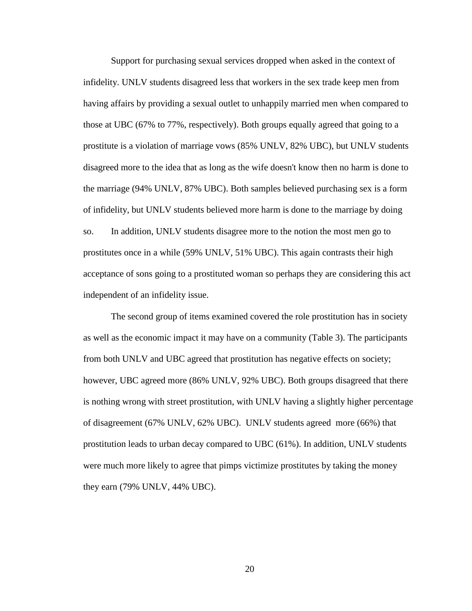Support for purchasing sexual services dropped when asked in the context of infidelity. UNLV students disagreed less that workers in the sex trade keep men from having affairs by providing a sexual outlet to unhappily married men when compared to those at UBC (67% to 77%, respectively). Both groups equally agreed that going to a prostitute is a violation of marriage vows (85% UNLV, 82% UBC), but UNLV students disagreed more to the idea that as long as the wife doesn't know then no harm is done to the marriage (94% UNLV, 87% UBC). Both samples believed purchasing sex is a form of infidelity, but UNLV students believed more harm is done to the marriage by doing so. In addition, UNLV students disagree more to the notion the most men go to prostitutes once in a while (59% UNLV, 51% UBC). This again contrasts their high acceptance of sons going to a prostituted woman so perhaps they are considering this act independent of an infidelity issue.

The second group of items examined covered the role prostitution has in society as well as the economic impact it may have on a community (Table 3). The participants from both UNLV and UBC agreed that prostitution has negative effects on society; however, UBC agreed more (86% UNLV, 92% UBC). Both groups disagreed that there is nothing wrong with street prostitution, with UNLV having a slightly higher percentage of disagreement (67% UNLV, 62% UBC). UNLV students agreed more (66%) that prostitution leads to urban decay compared to UBC (61%). In addition, UNLV students were much more likely to agree that pimps victimize prostitutes by taking the money they earn (79% UNLV, 44% UBC).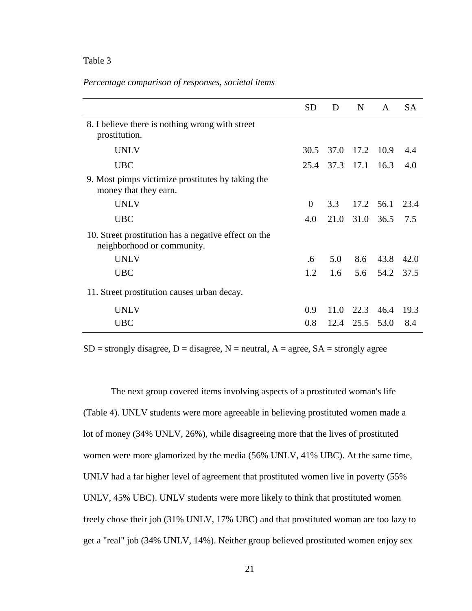## <span id="page-28-0"></span>Table 3

### *Percentage comparison of responses, societal items*

|                                                                                    | <b>SD</b> | D    | N              | $\mathsf{A}$   | <b>SA</b> |
|------------------------------------------------------------------------------------|-----------|------|----------------|----------------|-----------|
| 8. I believe there is nothing wrong with street<br>prostitution.                   |           |      |                |                |           |
| <b>UNLV</b>                                                                        | 30.5      |      | 37.0 17.2 10.9 |                | 4.4       |
| <b>UBC</b>                                                                         | 25.4      |      | 37.3 17.1 16.3 |                | 4.0       |
| 9. Most pimps victimize prostitutes by taking the<br>money that they earn.         |           |      |                |                |           |
| <b>UNLV</b>                                                                        | $\Omega$  | 3.3  |                | 17.2 56.1 23.4 |           |
| <b>UBC</b>                                                                         | 4.0       | 21.0 | 31.0 36.5      |                | 7.5       |
| 10. Street prostitution has a negative effect on the<br>neighborhood or community. |           |      |                |                |           |
| <b>UNLV</b>                                                                        | .6        | 5.0  |                | 8.6 43.8       | 42.0      |
| <b>UBC</b>                                                                         | 1.2       | 1.6  |                | 5.6 54.2 37.5  |           |
| 11. Street prostitution causes urban decay.                                        |           |      |                |                |           |
| <b>UNLV</b>                                                                        | 0.9       | 11.0 |                | 22.3 46.4      | 19.3      |
| <b>UBC</b>                                                                         | 0.8       | 12.4 | 25.5           | 53.0           | 8.4       |

 $SD =$  strongly disagree,  $D =$  disagree,  $N =$  neutral,  $A =$  agree,  $SA =$  strongly agree

The next group covered items involving aspects of a prostituted woman's life (Table 4). UNLV students were more agreeable in believing prostituted women made a lot of money (34% UNLV, 26%), while disagreeing more that the lives of prostituted women were more glamorized by the media (56% UNLV, 41% UBC). At the same time, UNLV had a far higher level of agreement that prostituted women live in poverty (55% UNLV, 45% UBC). UNLV students were more likely to think that prostituted women freely chose their job (31% UNLV, 17% UBC) and that prostituted woman are too lazy to get a "real" job (34% UNLV, 14%). Neither group believed prostituted women enjoy sex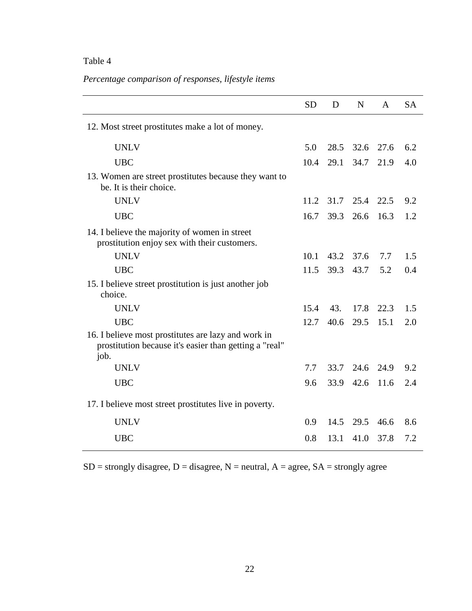# <span id="page-29-0"></span>Table 4

# *Percentage comparison of responses, lifestyle items*

|                                                                                                                       | <b>SD</b> | D    | N    | $\mathsf{A}$ | <b>SA</b> |
|-----------------------------------------------------------------------------------------------------------------------|-----------|------|------|--------------|-----------|
| 12. Most street prostitutes make a lot of money.                                                                      |           |      |      |              |           |
| <b>UNLV</b>                                                                                                           | 5.0       | 28.5 | 32.6 | 27.6         | 6.2       |
| <b>UBC</b>                                                                                                            | 10.4      | 29.1 | 34.7 | 21.9         | 4.0       |
| 13. Women are street prostitutes because they want to<br>be. It is their choice.                                      |           |      |      |              |           |
| <b>UNLV</b>                                                                                                           | 11.2      | 31.7 | 25.4 | 22.5         | 9.2       |
| <b>UBC</b>                                                                                                            | 16.7      | 39.3 | 26.6 | 16.3         | 1.2       |
| 14. I believe the majority of women in street<br>prostitution enjoy sex with their customers.                         |           |      |      |              |           |
| <b>UNLV</b>                                                                                                           | 10.1      | 43.2 | 37.6 | 7.7          | 1.5       |
| <b>UBC</b>                                                                                                            | 11.5      | 39.3 | 43.7 | 5.2          | 0.4       |
| 15. I believe street prostitution is just another job<br>choice.                                                      |           |      |      |              |           |
| <b>UNLV</b>                                                                                                           | 15.4      | 43.  | 17.8 | 22.3         | 1.5       |
| <b>UBC</b>                                                                                                            | 12.7      | 40.6 | 29.5 | 15.1         | 2.0       |
| 16. I believe most prostitutes are lazy and work in<br>prostitution because it's easier than getting a "real"<br>job. |           |      |      |              |           |
| <b>UNLV</b>                                                                                                           | 7.7       | 33.7 | 24.6 | 24.9         | 9.2       |
| <b>UBC</b>                                                                                                            | 9.6       | 33.9 | 42.6 | 11.6         | 2.4       |
| 17. I believe most street prostitutes live in poverty.                                                                |           |      |      |              |           |
| <b>UNLV</b>                                                                                                           | 0.9       | 14.5 | 29.5 | 46.6         | 8.6       |
| <b>UBC</b>                                                                                                            | 0.8       | 13.1 | 41.0 | 37.8         | 7.2       |

 $SD =$  strongly disagree,  $D =$  disagree,  $N =$  neutral,  $A =$  agree,  $SA =$  strongly agree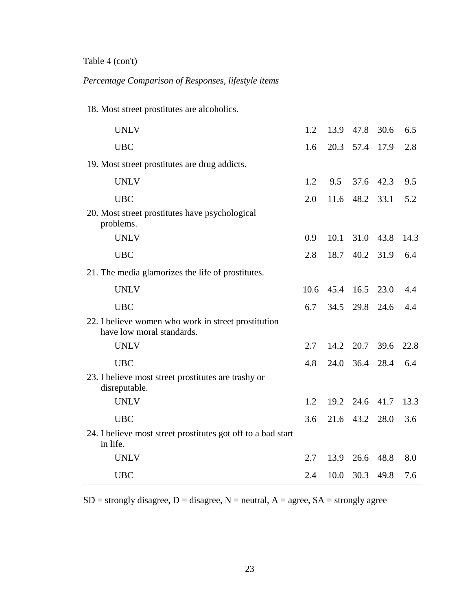Table 4 (con't)

*Percentage Comparison of Responses, lifestyle items*

18. Most street prostitutes are alcoholics.

| <b>UNLV</b>                                                                      | 1.2  | 13.9 | 47.8 30.6 |      | 6.5  |
|----------------------------------------------------------------------------------|------|------|-----------|------|------|
| <b>UBC</b>                                                                       | 1.6  |      | 20.3 57.4 | 17.9 | 2.8  |
| 19. Most street prostitutes are drug addicts.                                    |      |      |           |      |      |
| <b>UNLV</b>                                                                      | 1.2  | 9.5  | 37.6      | 42.3 | 9.5  |
| <b>UBC</b>                                                                       | 2.0  | 11.6 | 48.2      | 33.1 | 5.2  |
| 20. Most street prostitutes have psychological<br>problems.                      |      |      |           |      |      |
| <b>UNLV</b>                                                                      | 0.9  | 10.1 | 31.0 43.8 |      | 14.3 |
| <b>UBC</b>                                                                       | 2.8  | 18.7 | 40.2 31.9 |      | 6.4  |
| 21. The media glamorizes the life of prostitutes.                                |      |      |           |      |      |
| <b>UNLV</b>                                                                      | 10.6 |      | 45.4 16.5 | 23.0 | 4.4  |
| <b>UBC</b>                                                                       | 6.7  | 34.5 | 29.8      | 24.6 | 4.4  |
| 22. I believe women who work in street prostitution<br>have low moral standards. |      |      |           |      |      |
| <b>UNLV</b>                                                                      | 2.7  | 14.2 | 20.7      | 39.6 | 22.8 |
| <b>UBC</b>                                                                       | 4.8  | 24.0 | 36.4      | 28.4 | 6.4  |
| 23. I believe most street prostitutes are trashy or<br>disreputable.             |      |      |           |      |      |
| <b>UNLV</b>                                                                      | 1.2  |      | 19.2 24.6 | 41.7 | 13.3 |
| <b>UBC</b>                                                                       | 3.6  |      | 21.6 43.2 | 28.0 | 3.6  |
| 24. I believe most street prostitutes got off to a bad start<br>in life.         |      |      |           |      |      |
| <b>UNLV</b>                                                                      | 2.7  | 13.9 | 26.6      | 48.8 | 8.0  |
| <b>UBC</b>                                                                       | 2.4  | 10.0 | 30.3      | 49.8 | 7.6  |

 $SD =$  strongly disagree,  $D =$  disagree,  $N =$  neutral,  $A =$  agree,  $SA =$  strongly agree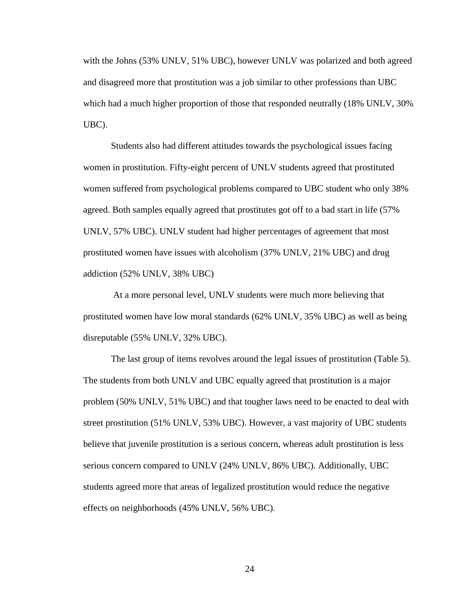with the Johns (53% UNLV, 51% UBC), however UNLV was polarized and both agreed and disagreed more that prostitution was a job similar to other professions than UBC which had a much higher proportion of those that responded neutrally (18% UNLV, 30% UBC).

Students also had different attitudes towards the psychological issues facing women in prostitution. Fifty-eight percent of UNLV students agreed that prostituted women suffered from psychological problems compared to UBC student who only 38% agreed. Both samples equally agreed that prostitutes got off to a bad start in life (57% UNLV, 57% UBC). UNLV student had higher percentages of agreement that most prostituted women have issues with alcoholism (37% UNLV, 21% UBC) and drug addiction (52% UNLV, 38% UBC)

At a more personal level, UNLV students were much more believing that prostituted women have low moral standards (62% UNLV, 35% UBC) as well as being disreputable (55% UNLV, 32% UBC).

The last group of items revolves around the legal issues of prostitution (Table 5). The students from both UNLV and UBC equally agreed that prostitution is a major problem (50% UNLV, 51% UBC) and that tougher laws need to be enacted to deal with street prostitution (51% UNLV, 53% UBC). However, a vast majority of UBC students believe that juvenile prostitution is a serious concern, whereas adult prostitution is less serious concern compared to UNLV (24% UNLV, 86% UBC). Additionally, UBC students agreed more that areas of legalized prostitution would reduce the negative effects on neighborhoods (45% UNLV, 56% UBC).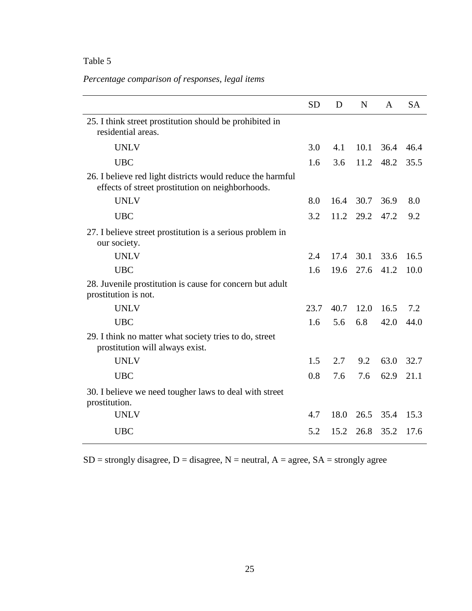# <span id="page-32-0"></span>Table 5

# *Percentage comparison of responses, legal items*

|                                                                                                                | <b>SD</b> | D    | N    | $\mathsf{A}$      | <b>SA</b> |
|----------------------------------------------------------------------------------------------------------------|-----------|------|------|-------------------|-----------|
| 25. I think street prostitution should be prohibited in<br>residential areas.                                  |           |      |      |                   |           |
| <b>UNLV</b>                                                                                                    | 3.0       | 4.1  |      | $10.1 \quad 36.4$ | 46.4      |
| <b>UBC</b>                                                                                                     | 1.6       | 3.6  | 11.2 | 48.2              | 35.5      |
| 26. I believe red light districts would reduce the harmful<br>effects of street prostitution on neighborhoods. |           |      |      |                   |           |
| <b>UNLV</b>                                                                                                    | 8.0       | 16.4 | 30.7 | 36.9              | 8.0       |
| <b>UBC</b>                                                                                                     | 3.2       | 11.2 | 29.2 | 47.2              | 9.2       |
| 27. I believe street prostitution is a serious problem in<br>our society.                                      |           |      |      |                   |           |
| <b>UNLV</b>                                                                                                    | 2.4       | 17.4 | 30.1 | 33.6              | 16.5      |
| <b>UBC</b>                                                                                                     | 1.6       | 19.6 | 27.6 | 41.2              | 10.0      |
| 28. Juvenile prostitution is cause for concern but adult<br>prostitution is not.                               |           |      |      |                   |           |
| <b>UNLV</b>                                                                                                    | 23.7      | 40.7 | 12.0 | 16.5              | 7.2       |
| <b>UBC</b>                                                                                                     | 1.6       | 5.6  | 6.8  | 42.0              | 44.0      |
| 29. I think no matter what society tries to do, street<br>prostitution will always exist.                      |           |      |      |                   |           |
| <b>UNLV</b>                                                                                                    | 1.5       | 2.7  | 9.2  | 63.0              | 32.7      |
| <b>UBC</b>                                                                                                     | 0.8       | 7.6  | 7.6  | 62.9              | 21.1      |
| 30. I believe we need tougher laws to deal with street<br>prostitution.                                        |           |      |      |                   |           |
| <b>UNLV</b>                                                                                                    | 4.7       | 18.0 | 26.5 | 35.4              | 15.3      |
| <b>UBC</b>                                                                                                     | 5.2       | 15.2 | 26.8 | 35.2              | 17.6      |

 $SD =$  strongly disagree,  $D =$  disagree,  $N =$  neutral,  $A =$  agree,  $SA =$  strongly agree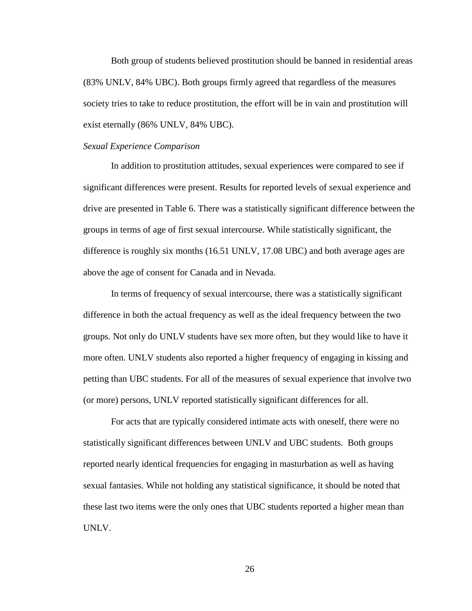Both group of students believed prostitution should be banned in residential areas (83% UNLV, 84% UBC). Both groups firmly agreed that regardless of the measures society tries to take to reduce prostitution, the effort will be in vain and prostitution will exist eternally (86% UNLV, 84% UBC).

#### *Sexual Experience Comparison*

In addition to prostitution attitudes, sexual experiences were compared to see if significant differences were present. Results for reported levels of sexual experience and drive are presented in Table 6. There was a statistically significant difference between the groups in terms of age of first sexual intercourse. While statistically significant, the difference is roughly six months (16.51 UNLV, 17.08 UBC) and both average ages are above the age of consent for Canada and in Nevada.

In terms of frequency of sexual intercourse, there was a statistically significant difference in both the actual frequency as well as the ideal frequency between the two groups. Not only do UNLV students have sex more often, but they would like to have it more often. UNLV students also reported a higher frequency of engaging in kissing and petting than UBC students. For all of the measures of sexual experience that involve two (or more) persons, UNLV reported statistically significant differences for all.

For acts that are typically considered intimate acts with oneself, there were no statistically significant differences between UNLV and UBC students. Both groups reported nearly identical frequencies for engaging in masturbation as well as having sexual fantasies. While not holding any statistical significance, it should be noted that these last two items were the only ones that UBC students reported a higher mean than UNLV.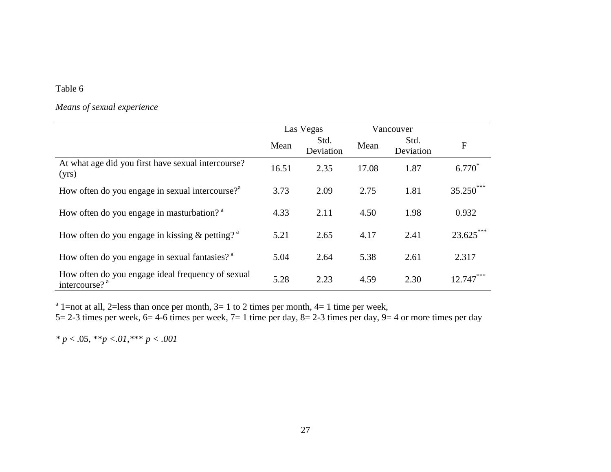# Table 6

# *Means of sexual experience*

|                                                                                | Las Vegas |                   |       | Vancouver         |              |
|--------------------------------------------------------------------------------|-----------|-------------------|-------|-------------------|--------------|
|                                                                                | Mean      | Std.<br>Deviation | Mean  | Std.<br>Deviation | $\mathbf{F}$ |
| At what age did you first have sexual intercourse?<br>(yrs)                    | 16.51     | 2.35              | 17.08 | 1.87              | $6.770*$     |
| How often do you engage in sexual intercourse? <sup>3</sup>                    | 3.73      | 2.09              | 2.75  | 1.81              | $35.250***$  |
| How often do you engage in masturbation? <sup>a</sup>                          | 4.33      | 2.11              | 4.50  | 1.98              | 0.932        |
| How often do you engage in kissing $&$ petting? $^{\circ}$                     | 5.21      | 2.65              | 4.17  | 2.41              | $23.625***$  |
| How often do you engage in sexual fantasies? <sup>a</sup>                      | 5.04      | 2.64              | 5.38  | 2.61              | 2.317        |
| How often do you engage ideal frequency of sexual<br>intercourse? <sup>a</sup> | 5.28      | 2.23              | 4.59  | 2.30              | $12.747***$  |

<span id="page-34-0"></span><sup>a</sup> 1=not at all, 2=less than once per month, 3= 1 to 2 times per month, 4= 1 time per week,

5= 2-3 times per week, 6= 4-6 times per week, 7= 1 time per day, 8= 2-3 times per day, 9= 4 or more times per day

*\* p* < .05, \*\**p <.01,\**\*\* *p < .001*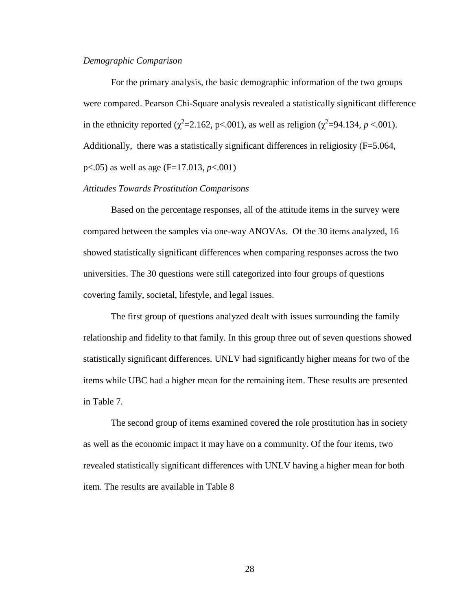## *Demographic Comparison*

For the primary analysis, the basic demographic information of the two groups were compared. Pearson Chi-Square analysis revealed a statistically significant difference in the ethnicity reported ( $\chi^2$ =2.162, p<.001), as well as religion ( $\chi^2$ =94.134, *p* <.001). Additionally, there was a statistically significant differences in religiosity (F=5.064, p<.05) as well as age (F=17.013, *p*<.001)

## *Attitudes Towards Prostitution Comparisons*

Based on the percentage responses, all of the attitude items in the survey were compared between the samples via one-way ANOVAs. Of the 30 items analyzed, 16 showed statistically significant differences when comparing responses across the two universities. The 30 questions were still categorized into four groups of questions covering family, societal, lifestyle, and legal issues.

The first group of questions analyzed dealt with issues surrounding the family relationship and fidelity to that family. In this group three out of seven questions showed statistically significant differences. UNLV had significantly higher means for two of the items while UBC had a higher mean for the remaining item. These results are presented in Table 7.

The second group of items examined covered the role prostitution has in society as well as the economic impact it may have on a community. Of the four items, two revealed statistically significant differences with UNLV having a higher mean for both item. The results are available in Table 8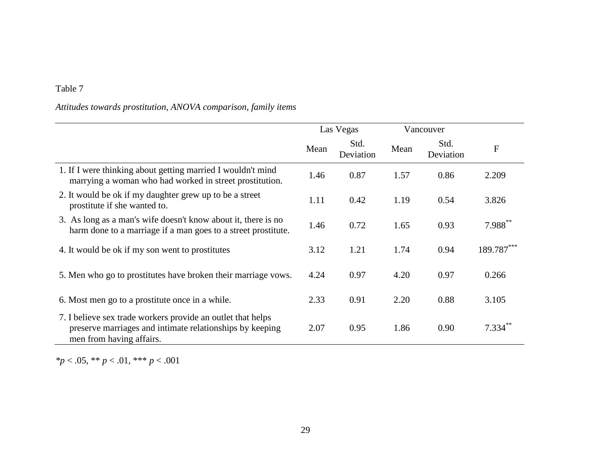# *Attitudes towards prostitution, ANOVA comparison, family items*

|                                                                                                                                                     |      | Las Vegas         |      | Vancouver         |                      |
|-----------------------------------------------------------------------------------------------------------------------------------------------------|------|-------------------|------|-------------------|----------------------|
|                                                                                                                                                     | Mean | Std.<br>Deviation | Mean | Std.<br>Deviation | F                    |
| 1. If I were thinking about getting married I wouldn't mind<br>marrying a woman who had worked in street prostitution.                              | 1.46 | 0.87              | 1.57 | 0.86              | 2.209                |
| 2. It would be ok if my daughter grew up to be a street<br>prostitute if she wanted to.                                                             | 1.11 | 0.42              | 1.19 | 0.54              | 3.826                |
| 3. As long as a man's wife doesn't know about it, there is no<br>harm done to a marriage if a man goes to a street prostitute.                      | 1.46 | 0.72              | 1.65 | 0.93              | 7.988**              |
| 4. It would be ok if my son went to prostitutes                                                                                                     | 3.12 | 1.21              | 1.74 | 0.94              | 189.787***           |
| 5. Men who go to prostitutes have broken their marriage vows.                                                                                       | 4.24 | 0.97              | 4.20 | 0.97              | 0.266                |
| 6. Most men go to a prostitute once in a while.                                                                                                     | 2.33 | 0.91              | 2.20 | 0.88              | 3.105                |
| 7. I believe sex trade workers provide an outlet that helps<br>preserve marriages and intimate relationships by keeping<br>men from having affairs. | 2.07 | 0.95              | 1.86 | 0.90              | $7.334$ <sup>*</sup> |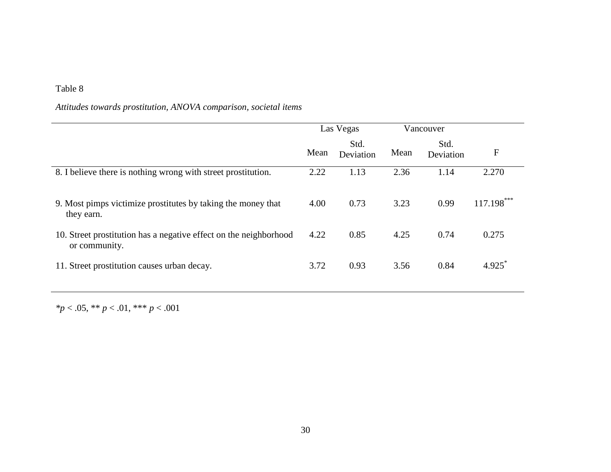# *Attitudes towards prostitution, ANOVA comparison, societal items*

|                                                                                    |      | Las Vegas         |      | Vancouver         |              |
|------------------------------------------------------------------------------------|------|-------------------|------|-------------------|--------------|
|                                                                                    | Mean | Std.<br>Deviation | Mean | Std.<br>Deviation | F            |
| 8. I believe there is nothing wrong with street prostitution.                      | 2.22 | 1.13              | 2.36 | 1.14              | 2.270        |
| 9. Most pimps victimize prostitutes by taking the money that<br>they earn.         | 4.00 | 0.73              | 3.23 | 0.99              | $117.198***$ |
| 10. Street prostitution has a negative effect on the neighborhood<br>or community. | 4.22 | 0.85              | 4.25 | 0.74              | 0.275        |
| 11. Street prostitution causes urban decay.                                        | 3.72 | 0.93              | 3.56 | 0.84              | 4.925        |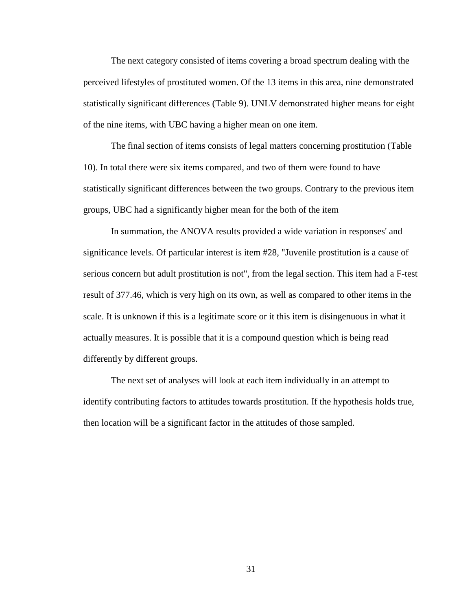The next category consisted of items covering a broad spectrum dealing with the perceived lifestyles of prostituted women. Of the 13 items in this area, nine demonstrated statistically significant differences (Table 9). UNLV demonstrated higher means for eight of the nine items, with UBC having a higher mean on one item.

The final section of items consists of legal matters concerning prostitution (Table 10). In total there were six items compared, and two of them were found to have statistically significant differences between the two groups. Contrary to the previous item groups, UBC had a significantly higher mean for the both of the item

In summation, the ANOVA results provided a wide variation in responses' and significance levels. Of particular interest is item #28, "Juvenile prostitution is a cause of serious concern but adult prostitution is not", from the legal section. This item had a F-test result of 377.46, which is very high on its own, as well as compared to other items in the scale. It is unknown if this is a legitimate score or it this item is disingenuous in what it actually measures. It is possible that it is a compound question which is being read differently by different groups.

The next set of analyses will look at each item individually in an attempt to identify contributing factors to attitudes towards prostitution. If the hypothesis holds true, then location will be a significant factor in the attitudes of those sampled.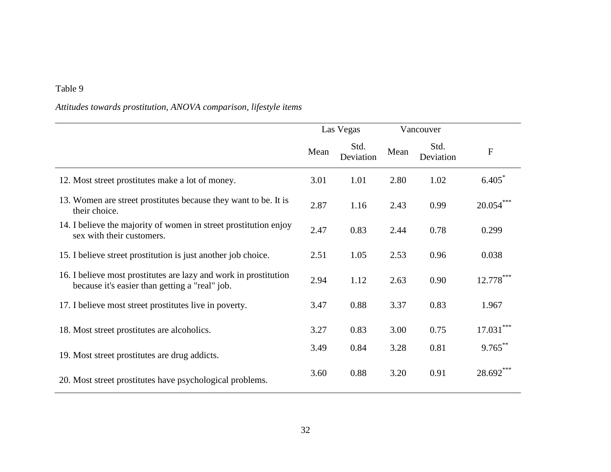# *Attitudes towards prostitution, ANOVA comparison, lifestyle items*

|                                                                                                                    |      | Las Vegas         |      | Vancouver         |             |
|--------------------------------------------------------------------------------------------------------------------|------|-------------------|------|-------------------|-------------|
|                                                                                                                    | Mean | Std.<br>Deviation | Mean | Std.<br>Deviation | $\mathbf F$ |
| 12. Most street prostitutes make a lot of money.                                                                   | 3.01 | 1.01              | 2.80 | 1.02              | 6.405       |
| 13. Women are street prostitutes because they want to be. It is<br>their choice.                                   | 2.87 | 1.16              | 2.43 | 0.99              | $20.054***$ |
| 14. I believe the majority of women in street prostitution enjoy<br>sex with their customers.                      | 2.47 | 0.83              | 2.44 | 0.78              | 0.299       |
| 15. I believe street prostitution is just another job choice.                                                      | 2.51 | 1.05              | 2.53 | 0.96              | 0.038       |
| 16. I believe most prostitutes are lazy and work in prostitution<br>because it's easier than getting a "real" job. | 2.94 | 1.12              | 2.63 | 0.90              | 12.778***   |
| 17. I believe most street prostitutes live in poverty.                                                             | 3.47 | 0.88              | 3.37 | 0.83              | 1.967       |
| 18. Most street prostitutes are alcoholics.                                                                        | 3.27 | 0.83              | 3.00 | 0.75              | $17.031***$ |
| 19. Most street prostitutes are drug addicts.                                                                      | 3.49 | 0.84              | 3.28 | 0.81              | $9.765***$  |
| 20. Most street prostitutes have psychological problems.                                                           | 3.60 | 0.88              | 3.20 | 0.91              | 28.692***   |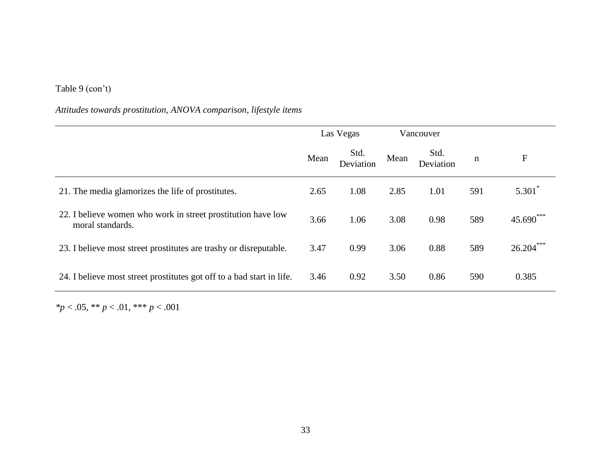# Table 9 (con't)

# *Attitudes towards prostitution, ANOVA comparison, lifestyle items*

|                                                                                  |      | Las Vegas         |      | Vancouver         |     |             |
|----------------------------------------------------------------------------------|------|-------------------|------|-------------------|-----|-------------|
|                                                                                  | Mean | Std.<br>Deviation | Mean | Std.<br>Deviation | n   | F           |
| 21. The media glamorizes the life of prostitutes.                                | 2.65 | 1.08              | 2.85 | 1.01              | 591 | $5.301*$    |
| 22. I believe women who work in street prostitution have low<br>moral standards. | 3.66 | 1.06              | 3.08 | 0.98              | 589 | 45.690***   |
| 23. I believe most street prostitutes are trashy or disreputable.                | 3.47 | 0.99              | 3.06 | 0.88              | 589 | $26.204***$ |
| 24. I believe most street prostitutes got off to a bad start in life.            | 3.46 | 0.92              | 3.50 | 0.86              | 590 | 0.385       |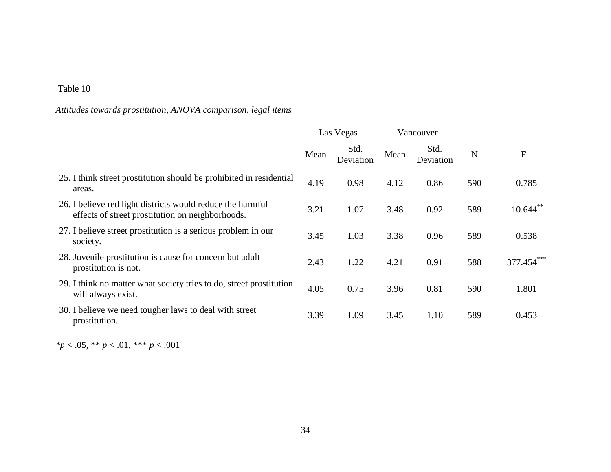# *Attitudes towards prostitution, ANOVA comparison, legal items*

|                                                                                                                |      | Las Vegas         |      | Vancouver         |     |                  |
|----------------------------------------------------------------------------------------------------------------|------|-------------------|------|-------------------|-----|------------------|
|                                                                                                                | Mean | Std.<br>Deviation | Mean | Std.<br>Deviation | N   | $\boldsymbol{F}$ |
| 25. I think street prostitution should be prohibited in residential<br>areas.                                  | 4.19 | 0.98              | 4.12 | 0.86              | 590 | 0.785            |
| 26. I believe red light districts would reduce the harmful<br>effects of street prostitution on neighborhoods. | 3.21 | 1.07              | 3.48 | 0.92              | 589 | $10.644$ **      |
| 27. I believe street prostitution is a serious problem in our<br>society.                                      | 3.45 | 1.03              | 3.38 | 0.96              | 589 | 0.538            |
| 28. Juvenile prostitution is cause for concern but adult<br>prostitution is not.                               | 2.43 | 1.22              | 4.21 | 0.91              | 588 | 377.454          |
| 29. I think no matter what society tries to do, street prostitution<br>will always exist.                      | 4.05 | 0.75              | 3.96 | 0.81              | 590 | 1.801            |
| 30. I believe we need tougher laws to deal with street<br>prostitution.                                        | 3.39 | 1.09              | 3.45 | 1.10              | 589 | 0.453            |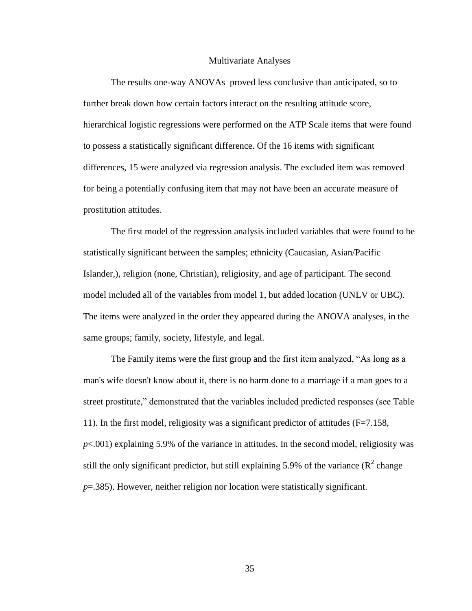#### Multivariate Analyses

The results one-way ANOVAs proved less conclusive than anticipated, so to further break down how certain factors interact on the resulting attitude score, hierarchical logistic regressions were performed on the ATP Scale items that were found to possess a statistically significant difference. Of the 16 items with significant differences, 15 were analyzed via regression analysis. The excluded item was removed for being a potentially confusing item that may not have been an accurate measure of prostitution attitudes.

The first model of the regression analysis included variables that were found to be statistically significant between the samples; ethnicity (Caucasian, Asian/Pacific Islander,), religion (none, Christian), religiosity, and age of participant. The second model included all of the variables from model 1, but added location (UNLV or UBC). The items were analyzed in the order they appeared during the ANOVA analyses, in the same groups; family, society, lifestyle, and legal.

The Family items were the first group and the first item analyzed, "As long as a man's wife doesn't know about it, there is no harm done to a marriage if a man goes to a street prostitute," demonstrated that the variables included predicted responses (see Table 11). In the first model, religiosity was a significant predictor of attitudes (F=7.158, *p*<.001) explaining 5.9% of the variance in attitudes. In the second model, religiosity was still the only significant predictor, but still explaining 5.9% of the variance ( $\mathbb{R}^2$  change *p*=.385). However, neither religion nor location were statistically significant.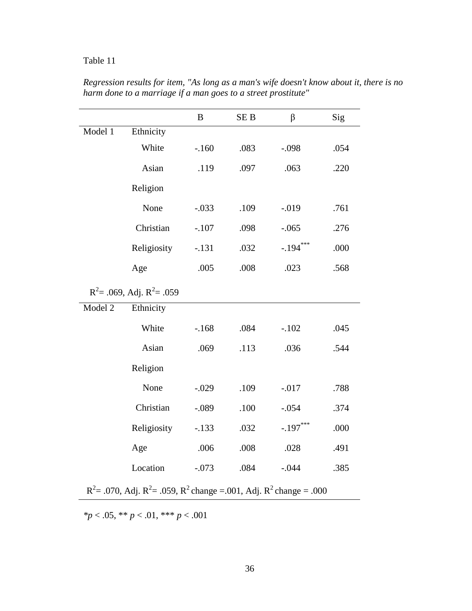|         |                                                                                | $\bf{B}$ | SE <sub>B</sub> | $\beta$    | Sig  |
|---------|--------------------------------------------------------------------------------|----------|-----------------|------------|------|
| Model 1 | Ethnicity                                                                      |          |                 |            |      |
|         | White                                                                          | $-.160$  | .083            | $-.098$    | .054 |
|         | Asian                                                                          | .119     | .097            | .063       | .220 |
|         | Religion                                                                       |          |                 |            |      |
|         | None                                                                           | $-.033$  | .109            | $-.019$    | .761 |
|         | Christian                                                                      | $-.107$  | .098            | $-.065$    | .276 |
|         | Religiosity                                                                    | $-.131$  | .032            | $-.194***$ | .000 |
|         | Age                                                                            | .005     | .008            | .023       | .568 |
|         | $R^2$ = .069, Adj. $R^2$ = .059                                                |          |                 |            |      |
| Model 2 | Ethnicity                                                                      |          |                 |            |      |
|         | White                                                                          | $-.168$  | .084            | $-.102$    | .045 |
|         | Asian                                                                          | .069     | .113            | .036       | .544 |
|         | Religion                                                                       |          |                 |            |      |
|         | None                                                                           | $-.029$  | .109            | $-.017$    | .788 |
|         | Christian                                                                      | $-.089$  | .100            | $-.054$    | .374 |
|         | Religiosity                                                                    | $-.133$  | .032            | $-.197***$ | .000 |
|         | Age                                                                            | .006     | .008            | .028       | .491 |
|         | Location                                                                       | $-.073$  | .084            | $-.044$    | .385 |
|         | $R^2$ = .070, Adj. $R^2$ = .059, $R^2$ change = .001, Adj. $R^2$ change = .000 |          |                 |            |      |

*Regression results for item, "As long as a man's wife doesn't know about it, there is no harm done to a marriage if a man goes to a street prostitute"*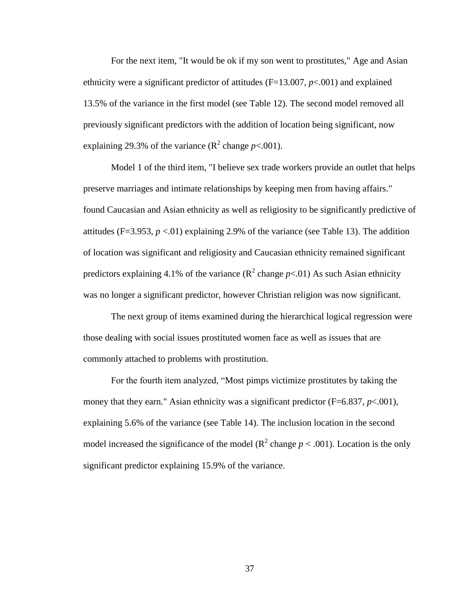For the next item, "It would be ok if my son went to prostitutes," Age and Asian ethnicity were a significant predictor of attitudes (F=13.007, *p*<.001) and explained 13.5% of the variance in the first model (see Table 12). The second model removed all previously significant predictors with the addition of location being significant, now explaining 29.3% of the variance  $(R^2 \text{ change } p < .001)$ .

Model 1 of the third item, "I believe sex trade workers provide an outlet that helps preserve marriages and intimate relationships by keeping men from having affairs." found Caucasian and Asian ethnicity as well as religiosity to be significantly predictive of attitudes (F=3.953,  $p < 01$ ) explaining 2.9% of the variance (see Table 13). The addition of location was significant and religiosity and Caucasian ethnicity remained significant predictors explaining 4.1% of the variance  $(R^2 \text{ change } p<.01)$  As such Asian ethnicity was no longer a significant predictor, however Christian religion was now significant.

The next group of items examined during the hierarchical logical regression were those dealing with social issues prostituted women face as well as issues that are commonly attached to problems with prostitution.

For the fourth item analyzed, "Most pimps victimize prostitutes by taking the money that they earn." Asian ethnicity was a significant predictor  $(F=6.837, p<.001)$ , explaining 5.6% of the variance (see Table 14). The inclusion location in the second model increased the significance of the model ( $\mathbb{R}^2$  change  $p < .001$ ). Location is the only significant predictor explaining 15.9% of the variance.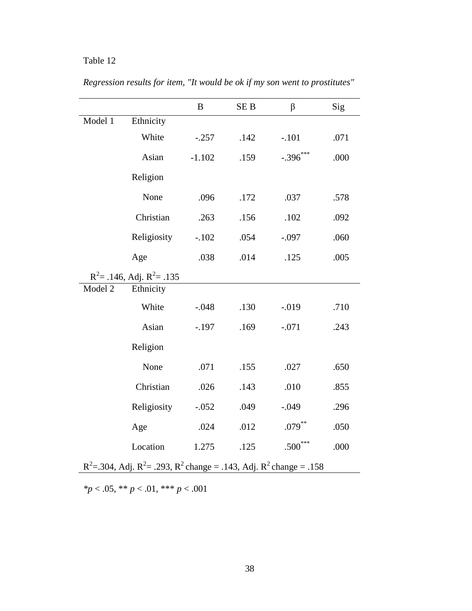|         |                                                                              | B        | SE <sub>B</sub> | $\beta$    | Sig  |
|---------|------------------------------------------------------------------------------|----------|-----------------|------------|------|
| Model 1 | Ethnicity                                                                    |          |                 |            |      |
|         | White                                                                        | $-.257$  | .142            | $-.101$    | .071 |
|         | Asian                                                                        | $-1.102$ | .159            | $-.396***$ | .000 |
|         | Religion                                                                     |          |                 |            |      |
|         | None                                                                         | .096     | .172            | .037       | .578 |
|         | Christian                                                                    | .263     | .156            | .102       | .092 |
|         | Religiosity                                                                  | $-.102$  | .054            | $-.097$    | .060 |
|         | Age                                                                          | .038     | .014            | .125       | .005 |
|         | $R^2$ = .146, Adj. $R^2$ = .135                                              |          |                 |            |      |
| Model 2 | Ethnicity                                                                    |          |                 |            |      |
|         | White                                                                        | $-.048$  | .130            | $-.019$    | .710 |
|         | Asian                                                                        | $-.197$  | .169            | $-.071$    | .243 |
|         | Religion                                                                     |          |                 |            |      |
|         | None                                                                         | .071     | .155            | .027       | .650 |
|         | Christian                                                                    | .026     | .143            | .010       | .855 |
|         | Religiosity                                                                  | $-.052$  | .049            | $-.049$    | .296 |
|         | Age                                                                          | .024     | .012            | $.079***$  | .050 |
|         | Location                                                                     | 1.275    | .125            | $.500***$  | .000 |
|         | $R^2$ =.304, Adj. $R^2$ =.293, $R^2$ change = .143, Adj. $R^2$ change = .158 |          |                 |            |      |

*Regression results for item, "It would be ok if my son went to prostitutes"*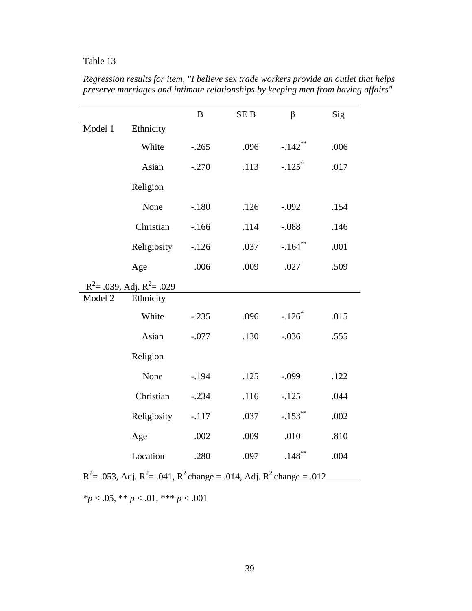|         |                                                                                | B       | SE <sub>B</sub> | β                     | Sig  |
|---------|--------------------------------------------------------------------------------|---------|-----------------|-----------------------|------|
| Model 1 | Ethnicity                                                                      |         |                 |                       |      |
|         | White                                                                          | $-.265$ | .096            | $-.142$ <sup>**</sup> | .006 |
|         | Asian                                                                          | $-.270$ | .113            | $-.125$ <sup>*</sup>  | .017 |
|         | Religion                                                                       |         |                 |                       |      |
|         | None                                                                           | $-.180$ | .126            | $-.092$               | .154 |
|         | Christian                                                                      | $-166$  | .114            | $-.088$               | .146 |
|         | Religiosity                                                                    | $-.126$ | .037            | $-.164**$             | .001 |
|         | Age                                                                            | .006    | .009            | .027                  | .509 |
|         | $R^2$ = .039, Adj. $R^2$ = .029                                                |         |                 |                       |      |
| Model 2 | Ethnicity                                                                      |         |                 |                       |      |
|         | White                                                                          | $-.235$ | .096            | $-.126*$              | .015 |
|         | Asian                                                                          | $-.077$ | .130            | $-.036$               | .555 |
|         | Religion                                                                       |         |                 |                       |      |
|         | None                                                                           | $-.194$ | .125            | $-.099$               | .122 |
|         | Christian                                                                      | $-.234$ | .116            | $-.125$               | .044 |
|         | Religiosity                                                                    | $-.117$ | .037            | $-.153$ **            | .002 |
|         | Age                                                                            | .002    | .009            | .010                  | .810 |
|         | Location                                                                       | .280    | .097            | $.148***$             | .004 |
|         | $R^2$ = .053, Adj. $R^2$ = .041, $R^2$ change = .014, Adj. $R^2$ change = .012 |         |                 |                       |      |

*Regression results for item, "I believe sex trade workers provide an outlet that helps preserve marriages and intimate relationships by keeping men from having affairs"*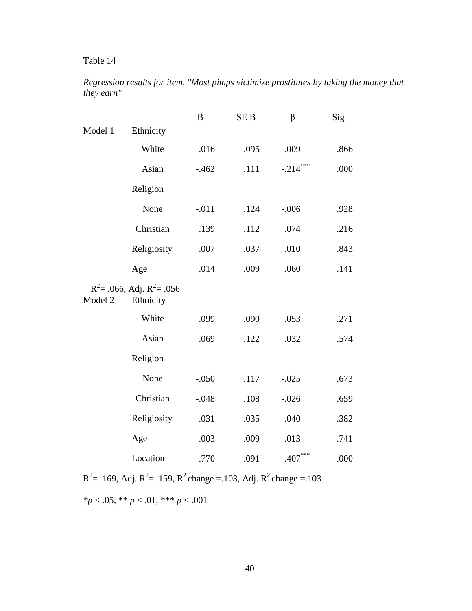|         |                                                                                | $\boldsymbol{B}$ | SE <sub>B</sub> | β          | Sig  |
|---------|--------------------------------------------------------------------------------|------------------|-----------------|------------|------|
| Model 1 | Ethnicity                                                                      |                  |                 |            |      |
|         | White                                                                          | .016             | .095            | .009       | .866 |
|         | Asian                                                                          | $-.462$          | .111            | $-.214***$ | .000 |
|         | Religion                                                                       |                  |                 |            |      |
|         | None                                                                           | $-.011$          | .124            | $-.006$    | .928 |
|         | Christian                                                                      | .139             | .112            | .074       | .216 |
|         | Religiosity                                                                    | .007             | .037            | .010       | .843 |
|         | Age                                                                            | .014             | .009            | .060       | .141 |
|         | $R^2$ = .066, Adj. $R^2$ = .056                                                |                  |                 |            |      |
| Model 2 | Ethnicity                                                                      |                  |                 |            |      |
|         | White                                                                          | .099             | .090            | .053       | .271 |
|         | Asian                                                                          | .069             | .122            | .032       | .574 |
|         | Religion                                                                       |                  |                 |            |      |
|         | None                                                                           | $-.050$          | .117            | $-.025$    | .673 |
|         | Christian                                                                      | $-.048$          | .108            | $-.026$    | .659 |
|         | Religiosity                                                                    | .031             | .035            | .040       | .382 |
|         | Age                                                                            | .003             | .009            | .013       | .741 |
|         | Location                                                                       | .770             | .091            | $.407***$  | .000 |
|         | $R^2$ = .169, Adj. $R^2$ = .159, $R^2$ change = .103, Adj. $R^2$ change = .103 |                  |                 |            |      |

*Regression results for item, "Most pimps victimize prostitutes by taking the money that they earn"*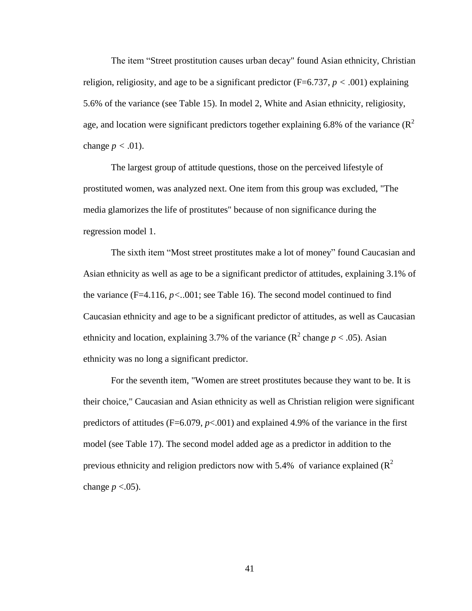The item "Street prostitution causes urban decay" found Asian ethnicity, Christian religion, religiosity, and age to be a significant predictor ( $F=6.737$ ,  $p < .001$ ) explaining 5.6% of the variance (see Table 15). In model 2, White and Asian ethnicity, religiosity, age, and location were significant predictors together explaining 6.8% of the variance  $(R^2)$ change  $p < .01$ ).

The largest group of attitude questions, those on the perceived lifestyle of prostituted women, was analyzed next. One item from this group was excluded, "The media glamorizes the life of prostitutes" because of non significance during the regression model 1.

The sixth item "Most street prostitutes make a lot of money" found Caucasian and Asian ethnicity as well as age to be a significant predictor of attitudes, explaining 3.1% of the variance  $(F=4.116, p<.001$ ; see Table 16). The second model continued to find Caucasian ethnicity and age to be a significant predictor of attitudes, as well as Caucasian ethnicity and location, explaining 3.7% of the variance  $(R^2 \text{ change } p < .05)$ . Asian ethnicity was no long a significant predictor.

For the seventh item, "Women are street prostitutes because they want to be. It is their choice," Caucasian and Asian ethnicity as well as Christian religion were significant predictors of attitudes ( $F=6.079$ ,  $p<.001$ ) and explained 4.9% of the variance in the first model (see Table 17). The second model added age as a predictor in addition to the previous ethnicity and religion predictors now with 5.4% of variance explained  $(R^2)$ change  $p < .05$ ).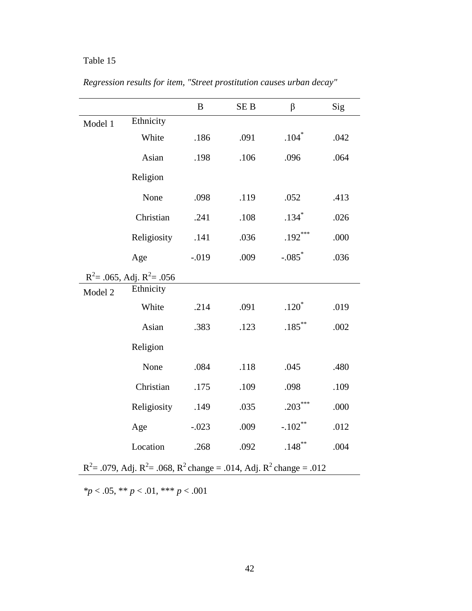|         |                                                                                | B        | SE <sub>B</sub> | $\beta$   | Sig  |
|---------|--------------------------------------------------------------------------------|----------|-----------------|-----------|------|
| Model 1 | Ethnicity                                                                      |          |                 |           |      |
|         | White                                                                          | .186     | .091            | $.104*$   | .042 |
|         | Asian                                                                          | .198     | .106            | .096      | .064 |
|         | Religion                                                                       |          |                 |           |      |
|         | None                                                                           | .098     | .119            | .052      | .413 |
|         | Christian                                                                      | .241     | .108            | $.134*$   | .026 |
|         | Religiosity                                                                    | .141     | .036            | $.192***$ | .000 |
|         | Age                                                                            | $-0.019$ | .009            | $-.085*$  | .036 |
|         | $R^2$ = .065, Adj. $R^2$ = .056                                                |          |                 |           |      |
| Model 2 | Ethnicity                                                                      |          |                 |           |      |
|         | White                                                                          | .214     | .091            | $.120*$   | .019 |
|         | Asian                                                                          | .383     | .123            | $.185***$ | .002 |
|         | Religion                                                                       |          |                 |           |      |
|         | None                                                                           | .084     | .118            | .045      | .480 |
|         | Christian                                                                      | .175     | .109            | .098      | .109 |
|         | Religiosity                                                                    | .149     | .035            | $.203***$ | .000 |
|         | Age                                                                            | $-.023$  | .009            | $-.102**$ | .012 |
|         | Location                                                                       | .268     | .092            | $.148***$ | .004 |
|         | $R^2$ = .079, Adj. $R^2$ = .068, $R^2$ change = .014, Adj. $R^2$ change = .012 |          |                 |           |      |

*Regression results for item, "Street prostitution causes urban decay"*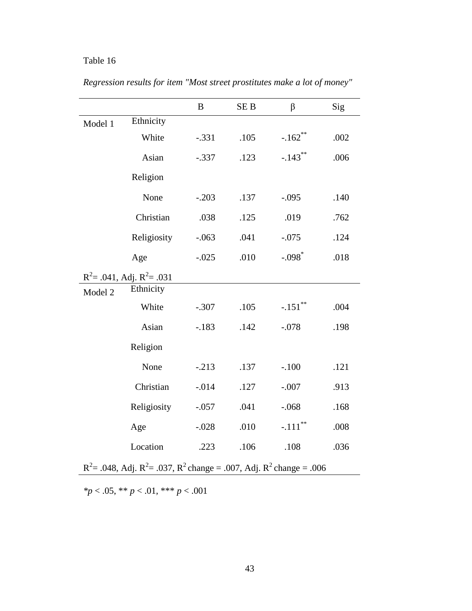|         |                                                                                | $\boldsymbol{B}$ | SE <sub>B</sub> | $\beta$               | Sig  |
|---------|--------------------------------------------------------------------------------|------------------|-----------------|-----------------------|------|
| Model 1 | Ethnicity                                                                      |                  |                 |                       |      |
|         | White                                                                          | $-.331$          | .105            | $-.162$ **            | .002 |
|         | Asian                                                                          | $-.337$          | .123            | $-.143**$             | .006 |
|         | Religion                                                                       |                  |                 |                       |      |
|         | None                                                                           | $-.203$          | .137            | $-.095$               | .140 |
|         | Christian                                                                      | .038             | .125            | .019                  | .762 |
|         | Religiosity                                                                    | $-.063$          | .041            | $-.075$               | .124 |
|         | Age                                                                            | $-.025$          | .010            | $-.098$ <sup>*</sup>  | .018 |
|         | $R^2$ = .041, Adj. $R^2$ = .031                                                |                  |                 |                       |      |
| Model 2 | Ethnicity                                                                      |                  |                 |                       |      |
|         | White                                                                          | $-.307$          | .105            | $-.151$ <sup>**</sup> | .004 |
|         | Asian                                                                          | $-.183$          | .142            | $-.078$               | .198 |
|         | Religion                                                                       |                  |                 |                       |      |
|         | None                                                                           | $-.213$          | .137            | $-.100$               | .121 |
|         | Christian                                                                      | $-.014$          | .127            | $-.007$               | .913 |
|         | Religiosity                                                                    | $-.057$          | .041            | $-.068$               | .168 |
|         | Age                                                                            | $-.028$          | .010            | $-.111$ <sup>**</sup> | .008 |
|         | Location                                                                       | .223             | .106            | .108                  | .036 |
|         | $R^2$ = .048, Adj. $R^2$ = .037, $R^2$ change = .007, Adj. $R^2$ change = .006 |                  |                 |                       |      |

*Regression results for item "Most street prostitutes make a lot of money"*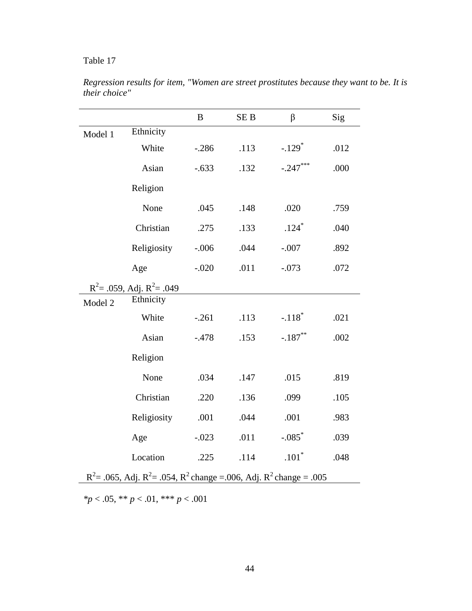|         |                                                                                | B       | SE <sub>B</sub> | $\beta$              | Sig  |
|---------|--------------------------------------------------------------------------------|---------|-----------------|----------------------|------|
| Model 1 | Ethnicity                                                                      |         |                 |                      |      |
|         | White                                                                          | $-.286$ | .113            | $-.129$ <sup>*</sup> | .012 |
|         | Asian                                                                          | $-.633$ | .132            | $-.247***$           | .000 |
|         | Religion                                                                       |         |                 |                      |      |
|         | None                                                                           | .045    | .148            | .020                 | .759 |
|         | Christian                                                                      | .275    | .133            | $.124*$              | .040 |
|         | Religiosity                                                                    | $-.006$ | .044            | $-.007$              | .892 |
|         | Age                                                                            | $-.020$ | .011            | $-.073$              | .072 |
|         | $R^2$ = .059, Adj. $R^2$ = .049                                                |         |                 |                      |      |
| Model 2 | Ethnicity                                                                      |         |                 |                      |      |
|         | White                                                                          | $-.261$ | .113            | $-.118$ <sup>*</sup> | .021 |
|         | Asian                                                                          | $-.478$ | .153            | $-.187**$            | .002 |
|         | Religion                                                                       |         |                 |                      |      |
|         | None                                                                           | .034    | .147            | .015                 | .819 |
|         | Christian                                                                      | .220    | .136            | .099                 | .105 |
|         | Religiosity                                                                    | .001    | .044            | .001                 | .983 |
|         | Age                                                                            | $-.023$ | .011            | $-.085$ <sup>*</sup> | .039 |
|         | Location                                                                       | .225    | .114            | $.101*$              | .048 |
|         | $R^2$ = .065, Adj. $R^2$ = .054, $R^2$ change = .006, Adj. $R^2$ change = .005 |         |                 |                      |      |

*Regression results for item, "Women are street prostitutes because they want to be. It is their choice"*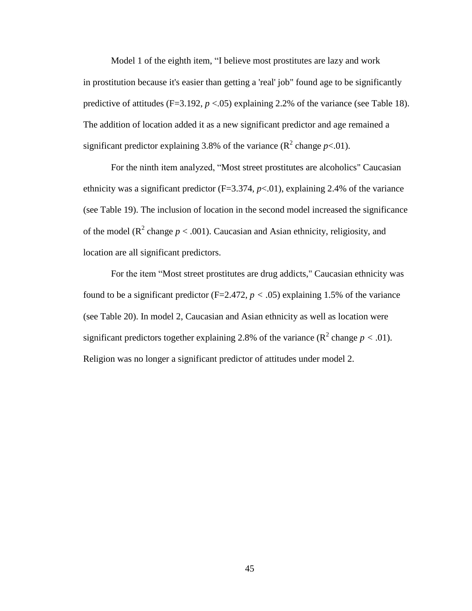Model 1 of the eighth item, "I believe most prostitutes are lazy and work in prostitution because it's easier than getting a 'real' job" found age to be significantly predictive of attitudes  $(F=3.192, p < .05)$  explaining 2.2% of the variance (see Table 18). The addition of location added it as a new significant predictor and age remained a significant predictor explaining 3.8% of the variance  $(R^2 \text{ change } p < 0.01)$ .

For the ninth item analyzed, "Most street prostitutes are alcoholics" Caucasian ethnicity was a significant predictor  $(F=3.374, p<0.01)$ , explaining 2.4% of the variance (see Table 19). The inclusion of location in the second model increased the significance of the model ( $\mathbb{R}^2$  change  $p < .001$ ). Caucasian and Asian ethnicity, religiosity, and location are all significant predictors.

For the item "Most street prostitutes are drug addicts," Caucasian ethnicity was found to be a significant predictor ( $F=2.472$ ,  $p < .05$ ) explaining 1.5% of the variance (see Table 20). In model 2, Caucasian and Asian ethnicity as well as location were significant predictors together explaining 2.8% of the variance  $(R^2 \text{ change } p < .01)$ . Religion was no longer a significant predictor of attitudes under model 2.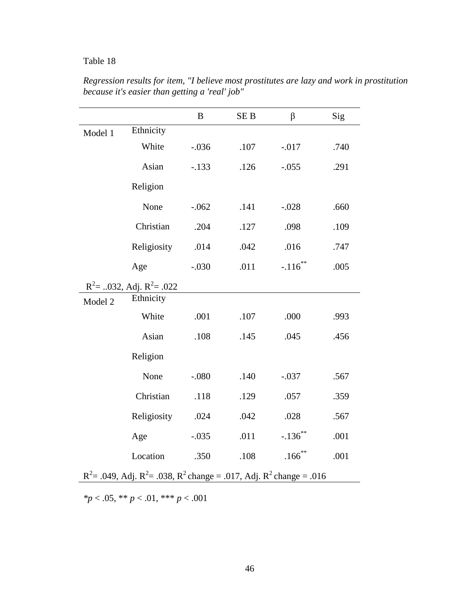|                                                                                |                                | B       | SE <sub>B</sub> | $\beta$    | Sig  |  |
|--------------------------------------------------------------------------------|--------------------------------|---------|-----------------|------------|------|--|
| Model 1                                                                        | Ethnicity                      |         |                 |            |      |  |
|                                                                                | White                          | $-.036$ | .107            | $-.017$    | .740 |  |
|                                                                                | Asian                          | $-.133$ | .126            | $-.055$    | .291 |  |
|                                                                                | Religion                       |         |                 |            |      |  |
|                                                                                | None                           | $-.062$ | .141            | $-.028$    | .660 |  |
|                                                                                | Christian                      | .204    | .127            | .098       | .109 |  |
|                                                                                | Religiosity                    | .014    | .042            | .016       | .747 |  |
|                                                                                | Age                            | $-.030$ | .011            | $-.116$ ** | .005 |  |
|                                                                                | $R^2$ = 032, Adj. $R^2$ = .022 |         |                 |            |      |  |
| Model 2                                                                        | Ethnicity                      |         |                 |            |      |  |
|                                                                                | White                          | .001    | .107            | .000       | .993 |  |
|                                                                                | Asian                          | .108    | .145            | .045       | .456 |  |
|                                                                                | Religion                       |         |                 |            |      |  |
|                                                                                | None                           | $-.080$ | .140            | $-.037$    | .567 |  |
|                                                                                | Christian                      | .118    | .129            | .057       | .359 |  |
|                                                                                | Religiosity                    | .024    | .042            | .028       | .567 |  |
|                                                                                | Age                            | $-.035$ | .011            | $-.136$ ** | .001 |  |
|                                                                                | Location                       | .350    | .108            | $.166***$  | .001 |  |
| $R^2$ = .049, Adj. $R^2$ = .038, $R^2$ change = .017, Adj. $R^2$ change = .016 |                                |         |                 |            |      |  |

*Regression results for item, "I believe most prostitutes are lazy and work in prostitution because it's easier than getting a 'real' job"*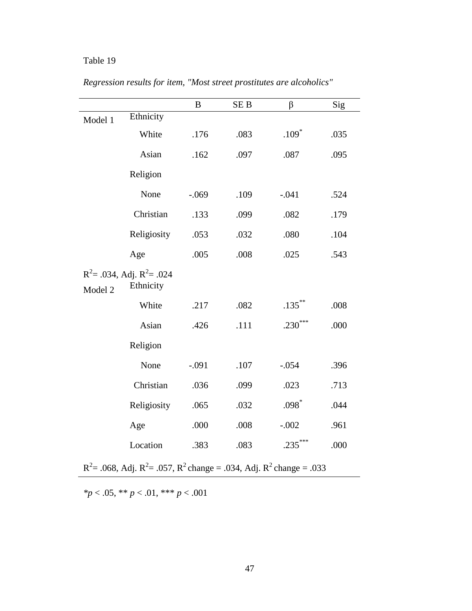|         |                                              | $\, {\bf B}$ | SE <sub>B</sub> | $\beta$   | Sig  |
|---------|----------------------------------------------|--------------|-----------------|-----------|------|
| Model 1 | Ethnicity                                    |              |                 |           |      |
|         | White                                        | .176         | .083            | $.109*$   | .035 |
|         | Asian                                        | .162         | .097            | .087      | .095 |
|         | Religion                                     |              |                 |           |      |
|         | None                                         | $-.069$      | .109            | $-.041$   | .524 |
|         | Christian                                    | .133         | .099            | .082      | .179 |
|         | Religiosity                                  | .053         | .032            | .080      | .104 |
|         | Age                                          | .005         | .008            | .025      | .543 |
| Model 2 | $R^2$ = .034, Adj. $R^2$ = .024<br>Ethnicity |              |                 |           |      |
|         | White                                        | .217         | .082            | $.135***$ | .008 |
|         | Asian                                        | .426         | .111            | $.230***$ | .000 |
|         | Religion                                     |              |                 |           |      |
|         | None                                         | $-.091$      | .107            | $-.054$   | .396 |
|         | Christian                                    | .036         | .099            | .023      | .713 |
|         | Religiosity                                  | .065         | .032            | $.098*$   | .044 |
|         | Age                                          | .000         | .008            | $-.002$   | .961 |
|         | Location                                     | .383         | .083            | .235      | .000 |

 $R^2$  = .068, Adj.  $R^2$  = .057,  $R^2$  change = .034, Adj.  $R^2$  change = .033

*Regression results for item, "Most street prostitutes are alcoholics"*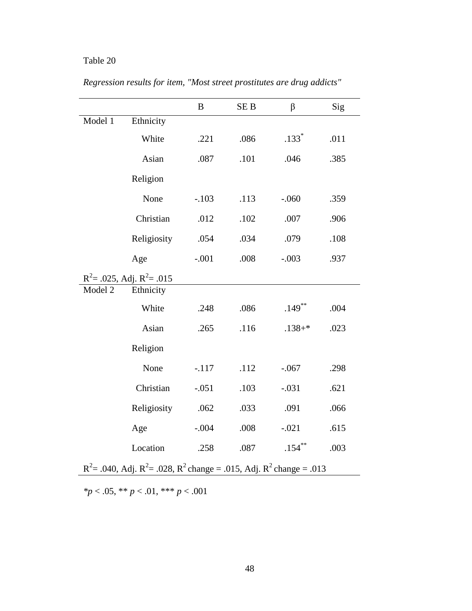|                                                                                |                                 | $\bf{B}$ | <b>SEB</b> | $\beta$    | Sig  |
|--------------------------------------------------------------------------------|---------------------------------|----------|------------|------------|------|
| Model 1                                                                        | Ethnicity                       |          |            |            |      |
|                                                                                | White                           | .221     | .086       | $.133*$    | .011 |
|                                                                                | Asian                           | .087     | .101       | .046       | .385 |
|                                                                                | Religion                        |          |            |            |      |
|                                                                                | None                            | $-.103$  | .113       | $-.060$    | .359 |
|                                                                                | Christian                       | .012     | .102       | .007       | .906 |
|                                                                                | Religiosity                     | .054     | .034       | .079       | .108 |
|                                                                                | Age                             | $-.001$  | .008       | $-.003$    | .937 |
|                                                                                | $R^2$ = .025, Adj. $R^2$ = .015 |          |            |            |      |
| Model 2                                                                        | Ethnicity                       |          |            |            |      |
|                                                                                | White                           | .248     | .086       | $.149$ **  | .004 |
|                                                                                | Asian                           | .265     | .116       | $.138 + *$ | .023 |
|                                                                                | Religion                        |          |            |            |      |
|                                                                                | None                            | $-.117$  | .112       | $-.067$    | .298 |
|                                                                                | Christian                       | $-.051$  | .103       | $-.031$    | .621 |
|                                                                                | Religiosity                     | .062     | .033       | .091       | .066 |
|                                                                                | Age                             | $-.004$  | .008       | $-.021$    | .615 |
|                                                                                | Location                        | .258     | .087       | $.154***$  | .003 |
| $R^2$ = .040, Adj. $R^2$ = .028, $R^2$ change = .015, Adj. $R^2$ change = .013 |                                 |          |            |            |      |

*Regression results for item, "Most street prostitutes are drug addicts"*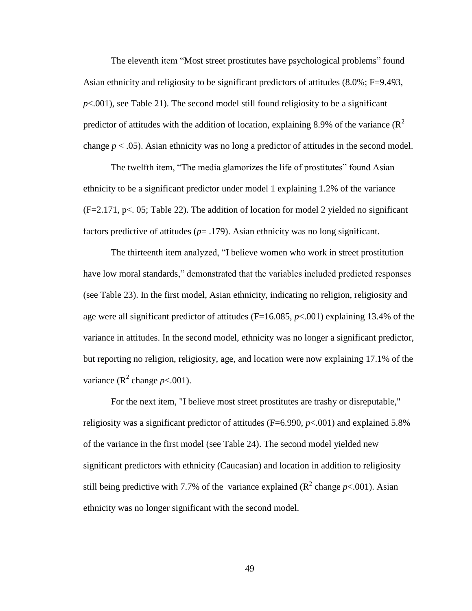The eleventh item "Most street prostitutes have psychological problems" found Asian ethnicity and religiosity to be significant predictors of attitudes (8.0%; F=9.493, *p*<.001), see Table 21). The second model still found religiosity to be a significant predictor of attitudes with the addition of location, explaining 8.9% of the variance  $(R^2)$ change  $p < .05$ ). Asian ethnicity was no long a predictor of attitudes in the second model.

The twelfth item, "The media glamorizes the life of prostitutes" found Asian ethnicity to be a significant predictor under model 1 explaining 1.2% of the variance  $(F=2.171, p<sub>0</sub>, 05; Table 22)$ . The addition of location for model 2 yielded no significant factors predictive of attitudes  $(p= .179)$ . Asian ethnicity was no long significant.

The thirteenth item analyzed, "I believe women who work in street prostitution have low moral standards," demonstrated that the variables included predicted responses (see Table 23). In the first model, Asian ethnicity, indicating no religion, religiosity and age were all significant predictor of attitudes (F=16.085, *p*<.001) explaining 13.4% of the variance in attitudes. In the second model, ethnicity was no longer a significant predictor, but reporting no religion, religiosity, age, and location were now explaining 17.1% of the variance  $(R^2 \text{ change } p < .001)$ .

For the next item, "I believe most street prostitutes are trashy or disreputable," religiosity was a significant predictor of attitudes (F=6.990, *p*<.001) and explained 5.8% of the variance in the first model (see Table 24). The second model yielded new significant predictors with ethnicity (Caucasian) and location in addition to religiosity still being predictive with 7.7% of the variance explained  $(R^2 \text{ change } p < .001)$ . Asian ethnicity was no longer significant with the second model.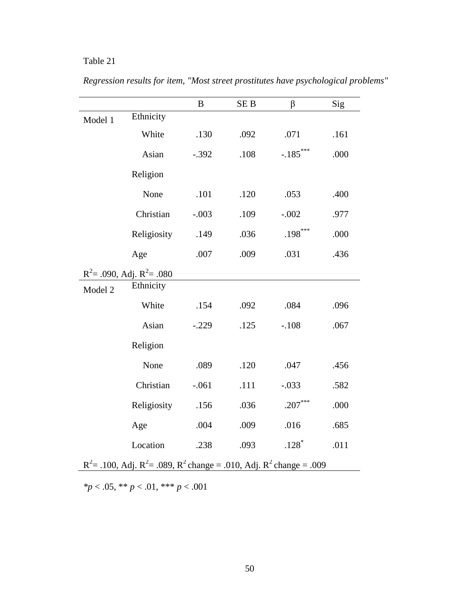|         |                                                                                | $\bf{B}$ | SE <sub>B</sub> | $\beta$    | Sig  |
|---------|--------------------------------------------------------------------------------|----------|-----------------|------------|------|
| Model 1 | Ethnicity                                                                      |          |                 |            |      |
|         | White                                                                          | .130     | .092            | .071       | .161 |
|         | Asian                                                                          | $-.392$  | .108            | $-.185***$ | .000 |
|         | Religion                                                                       |          |                 |            |      |
|         | None                                                                           | .101     | .120            | .053       | .400 |
|         | Christian                                                                      | $-.003$  | .109            | $-.002$    | .977 |
|         | Religiosity                                                                    | .149     | .036            | $.198***$  | .000 |
|         | Age                                                                            | .007     | .009            | .031       | .436 |
|         | $R^2$ = .090, Adj. $R^2$ = .080                                                |          |                 |            |      |
| Model 2 | Ethnicity                                                                      |          |                 |            |      |
|         | White                                                                          | .154     | .092            | .084       | .096 |
|         | Asian                                                                          | $-.229$  | .125            | $-.108$    | .067 |
|         | Religion                                                                       |          |                 |            |      |
|         | None                                                                           | .089     | .120            | .047       | .456 |
|         | Christian                                                                      | $-.061$  | .111            | $-.033$    | .582 |
|         | Religiosity                                                                    | .156     | .036            | $.207***$  | .000 |
|         | Age                                                                            | .004     | .009            | .016       | .685 |
|         | Location                                                                       | .238     | .093            | $.128*$    | .011 |
|         | $R^2$ = .100, Adj. $R^2$ = .089, $R^2$ change = .010, Adj. $R^2$ change = .009 |          |                 |            |      |

*Regression results for item, "Most street prostitutes have psychological problems"*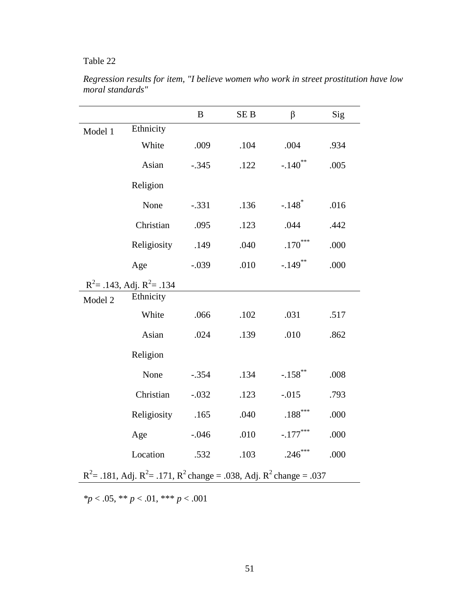|                                                                                |                                 | $\bf{B}$ | SE <sub>B</sub> | β                     | Sig  |  |
|--------------------------------------------------------------------------------|---------------------------------|----------|-----------------|-----------------------|------|--|
| Model 1                                                                        | Ethnicity                       |          |                 |                       |      |  |
|                                                                                | White                           | .009     | .104            | .004                  | .934 |  |
|                                                                                | Asian                           | $-.345$  | .122            | $-.140$ <sup>**</sup> | .005 |  |
|                                                                                | Religion                        |          |                 |                       |      |  |
|                                                                                | None                            | $-.331$  | .136            | $-.148$ <sup>*</sup>  | .016 |  |
|                                                                                | Christian                       | .095     | .123            | .044                  | .442 |  |
|                                                                                | Religiosity                     | .149     | .040            | $.170***$             | .000 |  |
|                                                                                | Age                             | $-.039$  | .010            | $-.149$ **            | .000 |  |
|                                                                                | $R^2$ = .143, Adj. $R^2$ = .134 |          |                 |                       |      |  |
| Model 2                                                                        | Ethnicity                       |          |                 |                       |      |  |
|                                                                                | White                           | .066     | .102            | .031                  | .517 |  |
|                                                                                | Asian                           | .024     | .139            | .010                  | .862 |  |
|                                                                                | Religion                        |          |                 |                       |      |  |
|                                                                                | None                            | $-.354$  | .134            | $-.158$ **            | .008 |  |
|                                                                                | Christian                       | $-.032$  | .123            | $-0.015$              | .793 |  |
|                                                                                | Religiosity                     | .165     | .040            | $.188***$             | .000 |  |
|                                                                                | Age                             | $-.046$  | .010            | $-.177***$            | .000 |  |
|                                                                                | Location                        | .532     | .103            | $.246***$             | .000 |  |
| $R^2$ = .181, Adj. $R^2$ = .171, $R^2$ change = .038, Adj. $R^2$ change = .037 |                                 |          |                 |                       |      |  |

*Regression results for item, "I believe women who work in street prostitution have low moral standards"*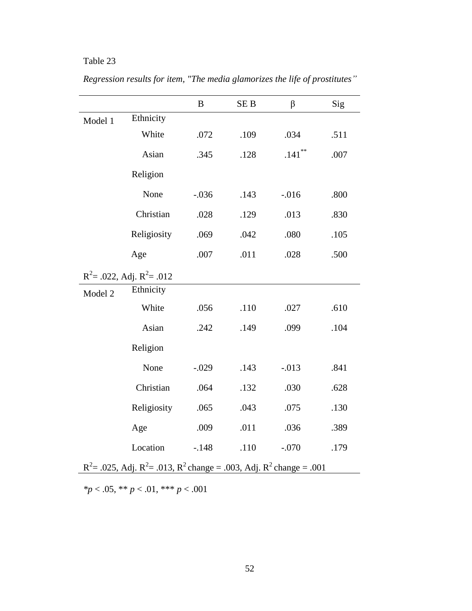|                                                                                |                                 | B       | <b>SEB</b> | $\beta$   | Sig  |  |
|--------------------------------------------------------------------------------|---------------------------------|---------|------------|-----------|------|--|
| Model 1                                                                        | Ethnicity                       |         |            |           |      |  |
|                                                                                | White                           | .072    | .109       | .034      | .511 |  |
|                                                                                | Asian                           | .345    | .128       | $.141***$ | .007 |  |
|                                                                                | Religion                        |         |            |           |      |  |
|                                                                                | None                            | $-.036$ | .143       | $-0.016$  | .800 |  |
|                                                                                | Christian                       | .028    | .129       | .013      | .830 |  |
|                                                                                | Religiosity                     | .069    | .042       | $.080$    | .105 |  |
|                                                                                | Age                             | .007    | .011       | .028      | .500 |  |
|                                                                                | $R^2$ = .022, Adj. $R^2$ = .012 |         |            |           |      |  |
| Model 2                                                                        | Ethnicity                       |         |            |           |      |  |
|                                                                                | White                           | .056    | .110       | .027      | .610 |  |
|                                                                                | Asian                           | .242    | .149       | .099      | .104 |  |
|                                                                                | Religion                        |         |            |           |      |  |
|                                                                                | None                            | $-.029$ | .143       | $-.013$   | .841 |  |
|                                                                                | Christian                       | .064    | .132       | .030      | .628 |  |
|                                                                                | Religiosity                     | .065    | .043       | .075      | .130 |  |
|                                                                                | Age                             | .009    | .011       | .036      | .389 |  |
|                                                                                | Location                        | $-.148$ | .110       | $-.070$   | .179 |  |
| $R^2$ = .025, Adj. $R^2$ = .013, $R^2$ change = .003, Adj. $R^2$ change = .001 |                                 |         |            |           |      |  |

*Regression results for item, "The media glamorizes the life of prostitutes"*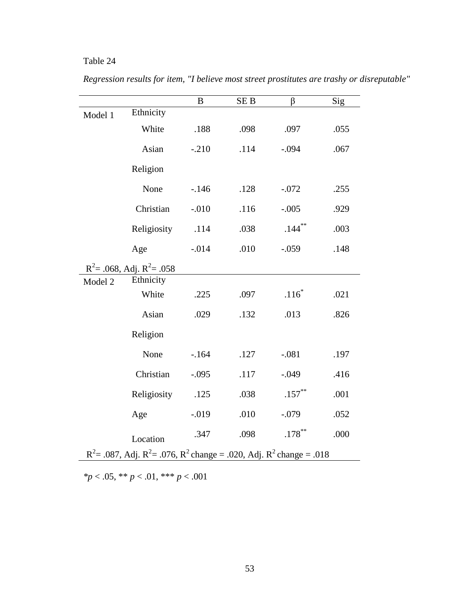|         |                                                                                | $\boldsymbol{B}$ | SE <sub>B</sub> | β                   | Sig  |
|---------|--------------------------------------------------------------------------------|------------------|-----------------|---------------------|------|
| Model 1 | Ethnicity                                                                      |                  |                 |                     |      |
|         | White                                                                          | .188             | .098            | .097                | .055 |
|         | Asian                                                                          | $-.210$          | .114            | $-.094$             | .067 |
|         | Religion                                                                       |                  |                 |                     |      |
|         | None                                                                           | $-.146$          | .128            | $-.072$             | .255 |
|         | Christian                                                                      | $-.010$          | .116            | $-.005$             | .929 |
|         | Religiosity                                                                    | .114             | .038            | $.144***$           | .003 |
|         | Age                                                                            | $-.014$          | .010            | $-.059$             | .148 |
|         | $R^2$ = .068, Adj. $R^2$ = .058                                                |                  |                 |                     |      |
| Model 2 | Ethnicity                                                                      |                  |                 |                     |      |
|         | White                                                                          | .225             | .097            | $.116$ <sup>*</sup> | .021 |
|         | Asian                                                                          | .029             | .132            | .013                | .826 |
|         | Religion                                                                       |                  |                 |                     |      |
|         | None                                                                           | $-164$           | .127            | $-.081$             | .197 |
|         | Christian                                                                      | $-.095$          | .117            | $-.049$             | .416 |
|         | Religiosity                                                                    | .125             | .038            | $.157***$           | .001 |
|         | Age                                                                            | $-0.019$         | .010            | $-.079$             | .052 |
|         | Location                                                                       | .347             | .098            | $.178***$           | .000 |
|         | $R^2$ = .087, Adj. $R^2$ = .076, $R^2$ change = .020, Adj. $R^2$ change = .018 |                  |                 |                     |      |

*Regression results for item, "I believe most street prostitutes are trashy or disreputable"*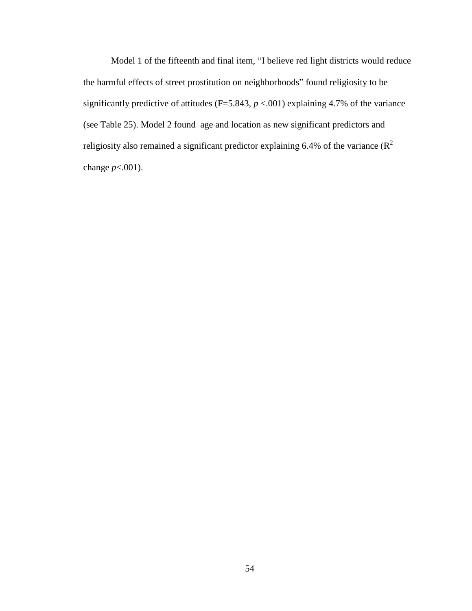Model 1 of the fifteenth and final item, "I believe red light districts would reduce the harmful effects of street prostitution on neighborhoods" found religiosity to be significantly predictive of attitudes ( $F=5.843$ ,  $p < .001$ ) explaining 4.7% of the variance (see Table 25). Model 2 found age and location as new significant predictors and religiosity also remained a significant predictor explaining 6.4% of the variance  $(R^2)$ change *p*<.001).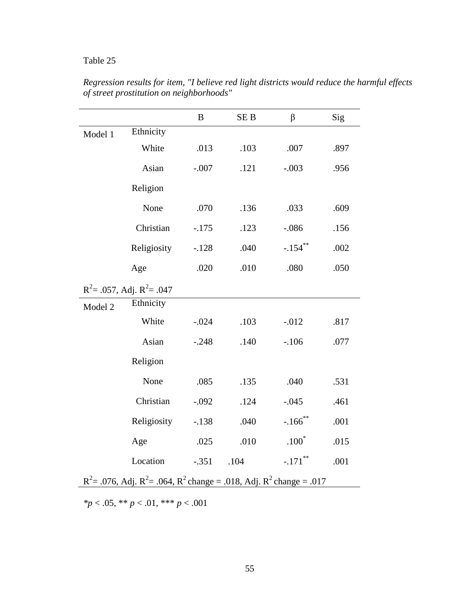|                                                                                |                                 | $\boldsymbol{B}$ | SE <sub>B</sub> | $\beta$               | Sig  |  |
|--------------------------------------------------------------------------------|---------------------------------|------------------|-----------------|-----------------------|------|--|
| Model 1                                                                        | Ethnicity                       |                  |                 |                       |      |  |
|                                                                                | White                           | .013             | .103            | .007                  | .897 |  |
|                                                                                | Asian                           | $-.007$          | .121            | $-.003$               | .956 |  |
|                                                                                | Religion                        |                  |                 |                       |      |  |
|                                                                                | None                            | .070             | .136            | .033                  | .609 |  |
|                                                                                | Christian                       | $-.175$          | .123            | $-.086$               | .156 |  |
|                                                                                | Religiosity                     | $-.128$          | .040            | $-.154$ **            | .002 |  |
|                                                                                | Age                             | .020             | .010            | .080                  | .050 |  |
|                                                                                | $R^2$ = .057, Adj. $R^2$ = .047 |                  |                 |                       |      |  |
| Model 2                                                                        | Ethnicity                       |                  |                 |                       |      |  |
|                                                                                | White                           | $-.024$          | .103            | $-0.012$              | .817 |  |
|                                                                                | Asian                           | $-.248$          | .140            | $-.106$               | .077 |  |
|                                                                                | Religion                        |                  |                 |                       |      |  |
|                                                                                | None                            | .085             | .135            | .040                  | .531 |  |
|                                                                                | Christian                       | $-.092$          | .124            | $-.045$               | .461 |  |
|                                                                                | Religiosity                     | $-.138$          | .040            | $-.166$ <sup>**</sup> | .001 |  |
|                                                                                | Age                             | .025             | .010            | $.100*$               | .015 |  |
|                                                                                | Location                        | $-.351$          | .104            | $-.171$ **            | .001 |  |
| $R^2$ = .076, Adj. $R^2$ = .064, $R^2$ change = .018, Adj. $R^2$ change = .017 |                                 |                  |                 |                       |      |  |

*Regression results for item, "I believe red light districts would reduce the harmful effects of street prostitution on neighborhoods"*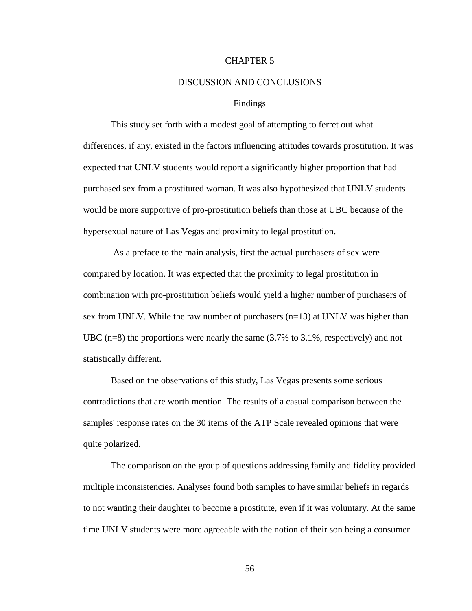#### CHAPTER 5

#### DISCUSSION AND CONCLUSIONS

#### Findings

This study set forth with a modest goal of attempting to ferret out what differences, if any, existed in the factors influencing attitudes towards prostitution. It was expected that UNLV students would report a significantly higher proportion that had purchased sex from a prostituted woman. It was also hypothesized that UNLV students would be more supportive of pro-prostitution beliefs than those at UBC because of the hypersexual nature of Las Vegas and proximity to legal prostitution.

As a preface to the main analysis, first the actual purchasers of sex were compared by location. It was expected that the proximity to legal prostitution in combination with pro-prostitution beliefs would yield a higher number of purchasers of sex from UNLV. While the raw number of purchasers (n=13) at UNLV was higher than UBC ( $n=8$ ) the proportions were nearly the same (3.7% to 3.1%, respectively) and not statistically different.

Based on the observations of this study, Las Vegas presents some serious contradictions that are worth mention. The results of a casual comparison between the samples' response rates on the 30 items of the ATP Scale revealed opinions that were quite polarized.

The comparison on the group of questions addressing family and fidelity provided multiple inconsistencies. Analyses found both samples to have similar beliefs in regards to not wanting their daughter to become a prostitute, even if it was voluntary. At the same time UNLV students were more agreeable with the notion of their son being a consumer.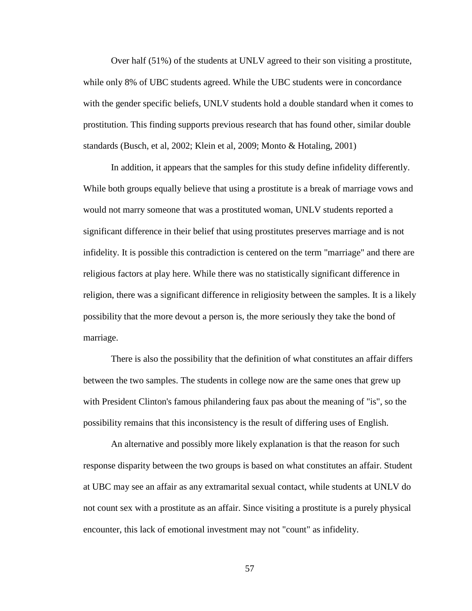Over half (51%) of the students at UNLV agreed to their son visiting a prostitute, while only 8% of UBC students agreed. While the UBC students were in concordance with the gender specific beliefs, UNLV students hold a double standard when it comes to prostitution. This finding supports previous research that has found other, similar double standards (Busch, et al, 2002; Klein et al, 2009; Monto & Hotaling, 2001)

In addition, it appears that the samples for this study define infidelity differently. While both groups equally believe that using a prostitute is a break of marriage vows and would not marry someone that was a prostituted woman, UNLV students reported a significant difference in their belief that using prostitutes preserves marriage and is not infidelity. It is possible this contradiction is centered on the term "marriage" and there are religious factors at play here. While there was no statistically significant difference in religion, there was a significant difference in religiosity between the samples. It is a likely possibility that the more devout a person is, the more seriously they take the bond of marriage.

There is also the possibility that the definition of what constitutes an affair differs between the two samples. The students in college now are the same ones that grew up with President Clinton's famous philandering faux pas about the meaning of "is", so the possibility remains that this inconsistency is the result of differing uses of English.

An alternative and possibly more likely explanation is that the reason for such response disparity between the two groups is based on what constitutes an affair. Student at UBC may see an affair as any extramarital sexual contact, while students at UNLV do not count sex with a prostitute as an affair. Since visiting a prostitute is a purely physical encounter, this lack of emotional investment may not "count" as infidelity.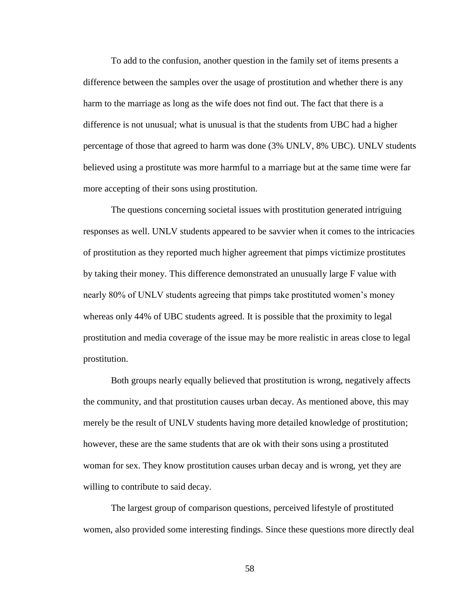To add to the confusion, another question in the family set of items presents a difference between the samples over the usage of prostitution and whether there is any harm to the marriage as long as the wife does not find out. The fact that there is a difference is not unusual; what is unusual is that the students from UBC had a higher percentage of those that agreed to harm was done (3% UNLV, 8% UBC). UNLV students believed using a prostitute was more harmful to a marriage but at the same time were far more accepting of their sons using prostitution.

The questions concerning societal issues with prostitution generated intriguing responses as well. UNLV students appeared to be savvier when it comes to the intricacies of prostitution as they reported much higher agreement that pimps victimize prostitutes by taking their money. This difference demonstrated an unusually large F value with nearly 80% of UNLV students agreeing that pimps take prostituted women's money whereas only 44% of UBC students agreed. It is possible that the proximity to legal prostitution and media coverage of the issue may be more realistic in areas close to legal prostitution.

Both groups nearly equally believed that prostitution is wrong, negatively affects the community, and that prostitution causes urban decay. As mentioned above, this may merely be the result of UNLV students having more detailed knowledge of prostitution; however, these are the same students that are ok with their sons using a prostituted woman for sex. They know prostitution causes urban decay and is wrong, yet they are willing to contribute to said decay.

The largest group of comparison questions, perceived lifestyle of prostituted women, also provided some interesting findings. Since these questions more directly deal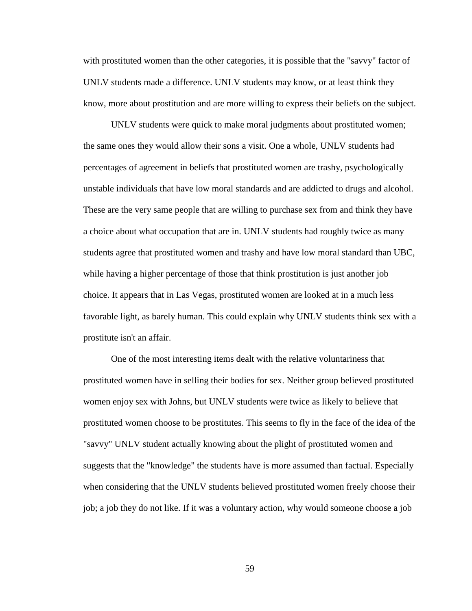with prostituted women than the other categories, it is possible that the "savvy" factor of UNLV students made a difference. UNLV students may know, or at least think they know, more about prostitution and are more willing to express their beliefs on the subject.

UNLV students were quick to make moral judgments about prostituted women; the same ones they would allow their sons a visit. One a whole, UNLV students had percentages of agreement in beliefs that prostituted women are trashy, psychologically unstable individuals that have low moral standards and are addicted to drugs and alcohol. These are the very same people that are willing to purchase sex from and think they have a choice about what occupation that are in. UNLV students had roughly twice as many students agree that prostituted women and trashy and have low moral standard than UBC, while having a higher percentage of those that think prostitution is just another job choice. It appears that in Las Vegas, prostituted women are looked at in a much less favorable light, as barely human. This could explain why UNLV students think sex with a prostitute isn't an affair.

One of the most interesting items dealt with the relative voluntariness that prostituted women have in selling their bodies for sex. Neither group believed prostituted women enjoy sex with Johns, but UNLV students were twice as likely to believe that prostituted women choose to be prostitutes. This seems to fly in the face of the idea of the "savvy" UNLV student actually knowing about the plight of prostituted women and suggests that the "knowledge" the students have is more assumed than factual. Especially when considering that the UNLV students believed prostituted women freely choose their job; a job they do not like. If it was a voluntary action, why would someone choose a job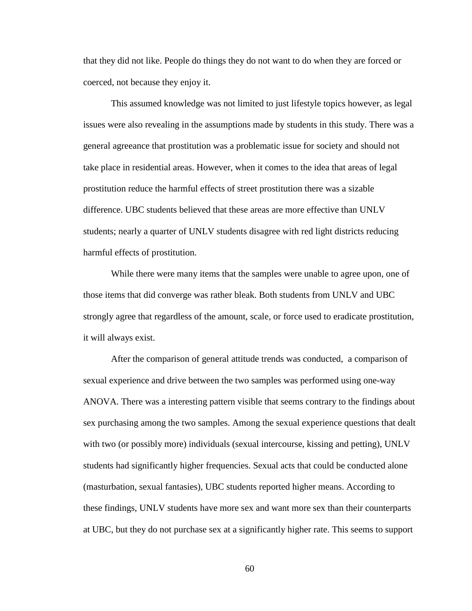that they did not like. People do things they do not want to do when they are forced or coerced, not because they enjoy it.

This assumed knowledge was not limited to just lifestyle topics however, as legal issues were also revealing in the assumptions made by students in this study. There was a general agreeance that prostitution was a problematic issue for society and should not take place in residential areas. However, when it comes to the idea that areas of legal prostitution reduce the harmful effects of street prostitution there was a sizable difference. UBC students believed that these areas are more effective than UNLV students; nearly a quarter of UNLV students disagree with red light districts reducing harmful effects of prostitution.

While there were many items that the samples were unable to agree upon, one of those items that did converge was rather bleak. Both students from UNLV and UBC strongly agree that regardless of the amount, scale, or force used to eradicate prostitution, it will always exist.

After the comparison of general attitude trends was conducted, a comparison of sexual experience and drive between the two samples was performed using one-way ANOVA. There was a interesting pattern visible that seems contrary to the findings about sex purchasing among the two samples. Among the sexual experience questions that dealt with two (or possibly more) individuals (sexual intercourse, kissing and petting), UNLV students had significantly higher frequencies. Sexual acts that could be conducted alone (masturbation, sexual fantasies), UBC students reported higher means. According to these findings, UNLV students have more sex and want more sex than their counterparts at UBC, but they do not purchase sex at a significantly higher rate. This seems to support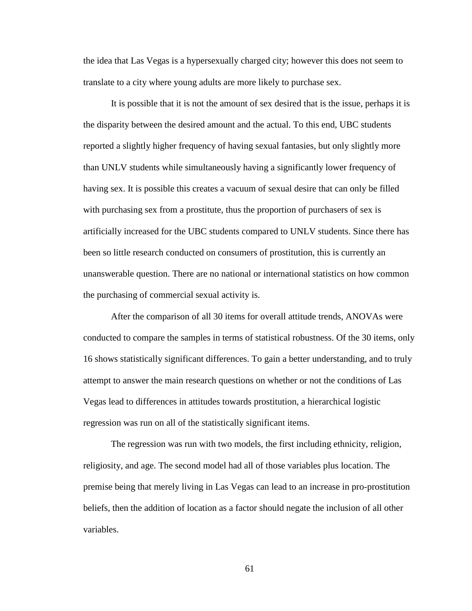the idea that Las Vegas is a hypersexually charged city; however this does not seem to translate to a city where young adults are more likely to purchase sex.

It is possible that it is not the amount of sex desired that is the issue, perhaps it is the disparity between the desired amount and the actual. To this end, UBC students reported a slightly higher frequency of having sexual fantasies, but only slightly more than UNLV students while simultaneously having a significantly lower frequency of having sex. It is possible this creates a vacuum of sexual desire that can only be filled with purchasing sex from a prostitute, thus the proportion of purchasers of sex is artificially increased for the UBC students compared to UNLV students. Since there has been so little research conducted on consumers of prostitution, this is currently an unanswerable question. There are no national or international statistics on how common the purchasing of commercial sexual activity is.

After the comparison of all 30 items for overall attitude trends, ANOVAs were conducted to compare the samples in terms of statistical robustness. Of the 30 items, only 16 shows statistically significant differences. To gain a better understanding, and to truly attempt to answer the main research questions on whether or not the conditions of Las Vegas lead to differences in attitudes towards prostitution, a hierarchical logistic regression was run on all of the statistically significant items.

The regression was run with two models, the first including ethnicity, religion, religiosity, and age. The second model had all of those variables plus location. The premise being that merely living in Las Vegas can lead to an increase in pro-prostitution beliefs, then the addition of location as a factor should negate the inclusion of all other variables.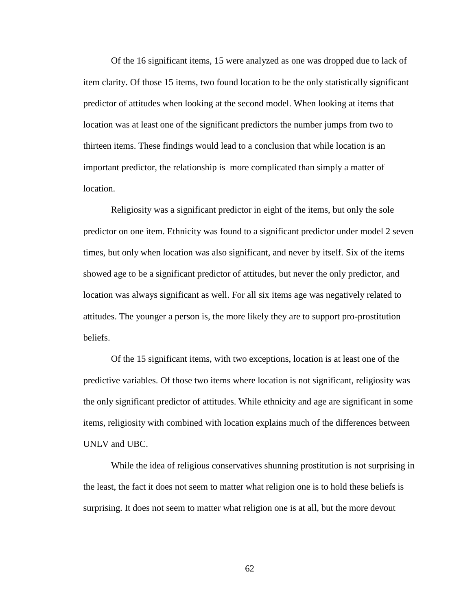Of the 16 significant items, 15 were analyzed as one was dropped due to lack of item clarity. Of those 15 items, two found location to be the only statistically significant predictor of attitudes when looking at the second model. When looking at items that location was at least one of the significant predictors the number jumps from two to thirteen items. These findings would lead to a conclusion that while location is an important predictor, the relationship is more complicated than simply a matter of location.

Religiosity was a significant predictor in eight of the items, but only the sole predictor on one item. Ethnicity was found to a significant predictor under model 2 seven times, but only when location was also significant, and never by itself. Six of the items showed age to be a significant predictor of attitudes, but never the only predictor, and location was always significant as well. For all six items age was negatively related to attitudes. The younger a person is, the more likely they are to support pro-prostitution beliefs.

Of the 15 significant items, with two exceptions, location is at least one of the predictive variables. Of those two items where location is not significant, religiosity was the only significant predictor of attitudes. While ethnicity and age are significant in some items, religiosity with combined with location explains much of the differences between UNLV and UBC.

While the idea of religious conservatives shunning prostitution is not surprising in the least, the fact it does not seem to matter what religion one is to hold these beliefs is surprising. It does not seem to matter what religion one is at all, but the more devout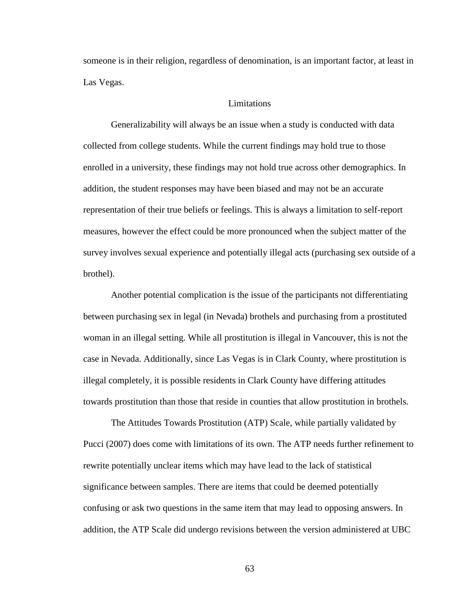someone is in their religion, regardless of denomination, is an important factor, at least in Las Vegas.

#### Limitations

Generalizability will always be an issue when a study is conducted with data collected from college students. While the current findings may hold true to those enrolled in a university, these findings may not hold true across other demographics. In addition, the student responses may have been biased and may not be an accurate representation of their true beliefs or feelings. This is always a limitation to self-report measures, however the effect could be more pronounced when the subject matter of the survey involves sexual experience and potentially illegal acts (purchasing sex outside of a brothel).

Another potential complication is the issue of the participants not differentiating between purchasing sex in legal (in Nevada) brothels and purchasing from a prostituted woman in an illegal setting. While all prostitution is illegal in Vancouver, this is not the case in Nevada. Additionally, since Las Vegas is in Clark County, where prostitution is illegal completely, it is possible residents in Clark County have differing attitudes towards prostitution than those that reside in counties that allow prostitution in brothels.

The Attitudes Towards Prostitution (ATP) Scale, while partially validated by Pucci (2007) does come with limitations of its own. The ATP needs further refinement to rewrite potentially unclear items which may have lead to the lack of statistical significance between samples. There are items that could be deemed potentially confusing or ask two questions in the same item that may lead to opposing answers. In addition, the ATP Scale did undergo revisions between the version administered at UBC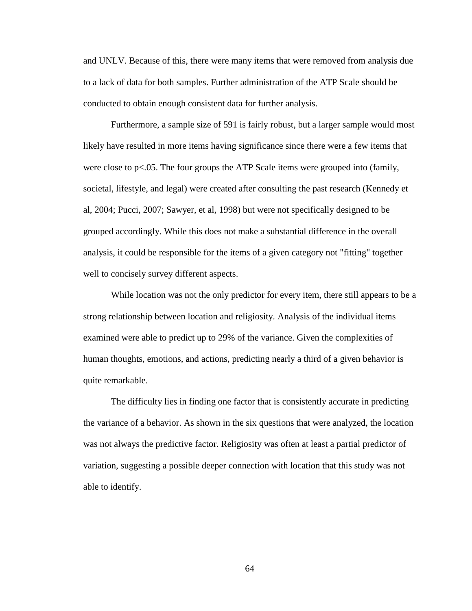and UNLV. Because of this, there were many items that were removed from analysis due to a lack of data for both samples. Further administration of the ATP Scale should be conducted to obtain enough consistent data for further analysis.

Furthermore, a sample size of 591 is fairly robust, but a larger sample would most likely have resulted in more items having significance since there were a few items that were close to p<.05. The four groups the ATP Scale items were grouped into (family, societal, lifestyle, and legal) were created after consulting the past research (Kennedy et al, 2004; Pucci, 2007; Sawyer, et al, 1998) but were not specifically designed to be grouped accordingly. While this does not make a substantial difference in the overall analysis, it could be responsible for the items of a given category not "fitting" together well to concisely survey different aspects.

While location was not the only predictor for every item, there still appears to be a strong relationship between location and religiosity. Analysis of the individual items examined were able to predict up to 29% of the variance. Given the complexities of human thoughts, emotions, and actions, predicting nearly a third of a given behavior is quite remarkable.

The difficulty lies in finding one factor that is consistently accurate in predicting the variance of a behavior. As shown in the six questions that were analyzed, the location was not always the predictive factor. Religiosity was often at least a partial predictor of variation, suggesting a possible deeper connection with location that this study was not able to identify.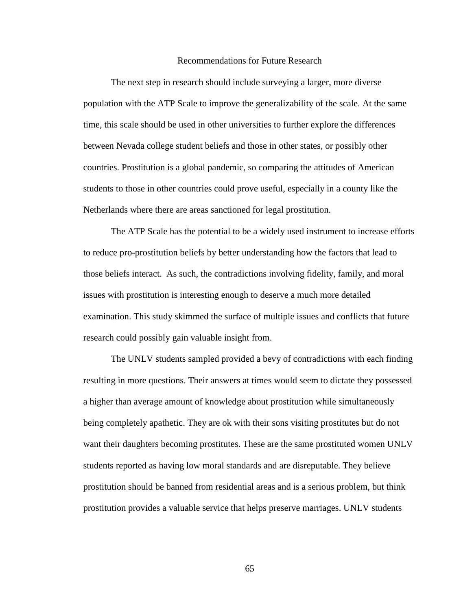#### Recommendations for Future Research

The next step in research should include surveying a larger, more diverse population with the ATP Scale to improve the generalizability of the scale. At the same time, this scale should be used in other universities to further explore the differences between Nevada college student beliefs and those in other states, or possibly other countries. Prostitution is a global pandemic, so comparing the attitudes of American students to those in other countries could prove useful, especially in a county like the Netherlands where there are areas sanctioned for legal prostitution.

The ATP Scale has the potential to be a widely used instrument to increase efforts to reduce pro-prostitution beliefs by better understanding how the factors that lead to those beliefs interact. As such, the contradictions involving fidelity, family, and moral issues with prostitution is interesting enough to deserve a much more detailed examination. This study skimmed the surface of multiple issues and conflicts that future research could possibly gain valuable insight from.

The UNLV students sampled provided a bevy of contradictions with each finding resulting in more questions. Their answers at times would seem to dictate they possessed a higher than average amount of knowledge about prostitution while simultaneously being completely apathetic. They are ok with their sons visiting prostitutes but do not want their daughters becoming prostitutes. These are the same prostituted women UNLV students reported as having low moral standards and are disreputable. They believe prostitution should be banned from residential areas and is a serious problem, but think prostitution provides a valuable service that helps preserve marriages. UNLV students

65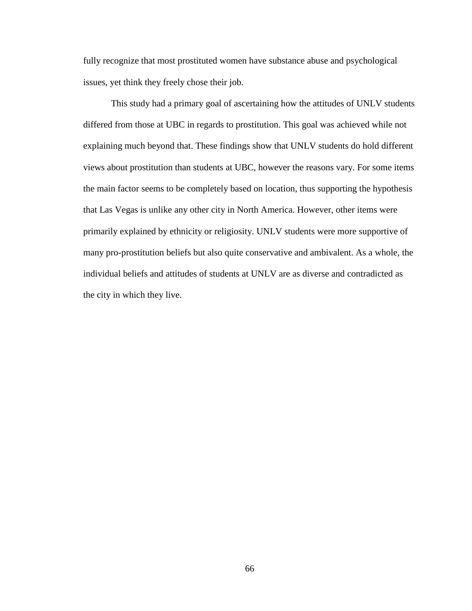fully recognize that most prostituted women have substance abuse and psychological issues, yet think they freely chose their job.

This study had a primary goal of ascertaining how the attitudes of UNLV students differed from those at UBC in regards to prostitution. This goal was achieved while not explaining much beyond that. These findings show that UNLV students do hold different views about prostitution than students at UBC, however the reasons vary. For some items the main factor seems to be completely based on location, thus supporting the hypothesis that Las Vegas is unlike any other city in North America. However, other items were primarily explained by ethnicity or religiosity. UNLV students were more supportive of many pro-prostitution beliefs but also quite conservative and ambivalent. As a whole, the individual beliefs and attitudes of students at UNLV are as diverse and contradicted as the city in which they live.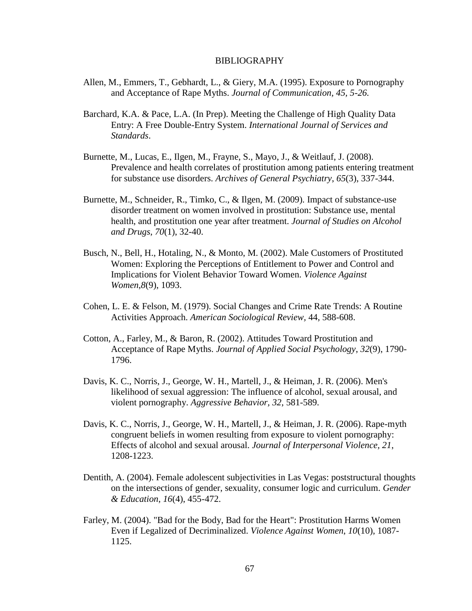#### BIBLIOGRAPHY

- Allen, M., Emmers, T., Gebhardt, L., & Giery, M.A. (1995). Exposure to Pornography and Acceptance of Rape Myths. *Journal of Communication, 45, 5-26.*
- Barchard, K.A. & Pace, L.A. (In Prep). Meeting the Challenge of High Quality Data Entry: A Free Double-Entry System. *International Journal of Services and Standards*.
- Burnette, M., Lucas, E., Ilgen, M., Frayne, S., Mayo, J., & Weitlauf, J. (2008). Prevalence and health correlates of prostitution among patients entering treatment for substance use disorders. *Archives of General Psychiatry*, *65*(3), 337-344.
- Burnette, M., Schneider, R., Timko, C., & Ilgen, M. (2009). Impact of substance-use disorder treatment on women involved in prostitution: Substance use, mental health, and prostitution one year after treatment. *Journal of Studies on Alcohol and Drugs*, *70*(1), 32-40.
- Busch, N., Bell, H., Hotaling, N., & Monto, M. (2002). Male Customers of Prostituted Women: Exploring the Perceptions of Entitlement to Power and Control and Implications for Violent Behavior Toward Women. *Violence Against Women*,*8*(9), 1093.
- Cohen, L. E. & Felson, M. (1979). Social Changes and Crime Rate Trends: A Routine Activities Approach. *American Sociological Review,* 44, 588-608.
- Cotton, A., Farley, M., & Baron, R. (2002). Attitudes Toward Prostitution and Acceptance of Rape Myths. *Journal of Applied Social Psychology*, *32*(9), 1790- 1796.
- Davis, K. C., Norris, J., George, W. H., Martell, J., & Heiman, J. R. (2006). Men's likelihood of sexual aggression: The influence of alcohol, sexual arousal, and violent pornography. *Aggressive Behavior, 32*, 581-589.
- Davis, K. C., Norris, J., George, W. H., Martell, J., & Heiman, J. R. (2006). Rape-myth congruent beliefs in women resulting from exposure to violent pornography: Effects of alcohol and sexual arousal. *Journal of Interpersonal Violence, 21*, 1208-1223.
- Dentith, A. (2004). Female adolescent subjectivities in Las Vegas: poststructural thoughts on the intersections of gender, sexuality, consumer logic and curriculum. *Gender & Education*, *16*(4), 455-472.
- Farley, M. (2004). "Bad for the Body, Bad for the Heart": Prostitution Harms Women Even if Legalized of Decriminalized. *Violence Against Women*, *10*(10), 1087- 1125.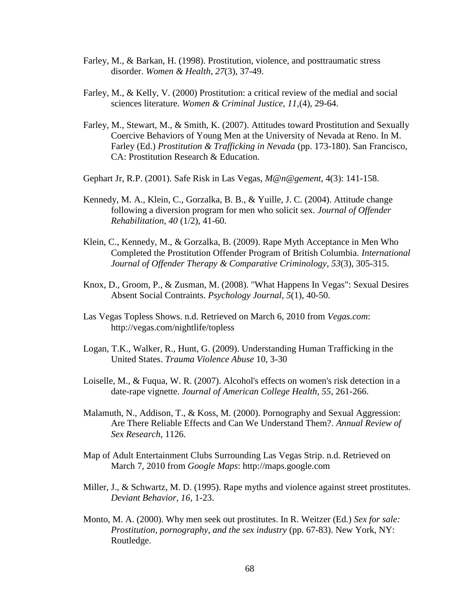- Farley, M., & Barkan, H. (1998). Prostitution, violence, and posttraumatic stress disorder. *Women & Health*, *27*(3), 37-49.
- Farley, M., & Kelly, V. (2000) Prostitution: a critical review of the medial and social sciences literature. *Women & Criminal Justice, 11,*(4), 29-64.
- Farley, M., Stewart, M., & Smith, K. (2007). Attitudes toward Prostitution and Sexually Coercive Behaviors of Young Men at the University of Nevada at Reno. In M. Farley (Ed.) *Prostitution & Trafficking in Nevada* (pp. 173-180). San Francisco, CA: Prostitution Research & Education.
- Gephart Jr, R.P. (2001). Safe Risk in Las Vegas, *M@n@gement,* 4(3): 141-158.
- Kennedy, M. A., Klein, C., Gorzalka, B. B., & Yuille, J. C. (2004). Attitude change following a diversion program for men who solicit sex. *Journal of Offender Rehabilitation, 40* (1/2), 41-60.
- Klein, C., Kennedy, M., & Gorzalka, B. (2009). Rape Myth Acceptance in Men Who Completed the Prostitution Offender Program of British Columbia. *International Journal of Offender Therapy & Comparative Criminology*, *53*(3), 305-315.
- Knox, D., Groom, P., & Zusman, M. (2008). "What Happens In Vegas": Sexual Desires Absent Social Contraints. *Psychology Journal*, *5*(1), 40-50.
- Las Vegas Topless Shows. n.d. Retrieved on March 6, 2010 from *Vegas.com*: http://vegas.com/nightlife/topless
- Logan, T.K., Walker, R., Hunt, G. (2009). Understanding Human Trafficking in the United States. *Trauma Violence Abuse* 10, 3-30
- Loiselle, M., & Fuqua, W. R. (2007). Alcohol's effects on women's risk detection in a date-rape vignette. *Journal of American College Health, 55*, 261-266.
- Malamuth, N., Addison, T., & Koss, M. (2000). Pornography and Sexual Aggression: Are There Reliable Effects and Can We Understand Them?. *Annual Review of Sex Research*, 1126.
- Map of Adult Entertainment Clubs Surrounding Las Vegas Strip. n.d. Retrieved on March 7, 2010 from *Google Maps*: http://maps.google.com
- Miller, J., & Schwartz, M. D. (1995). Rape myths and violence against street prostitutes. *Deviant Behavior, 16*, 1-23.
- Monto, M. A. (2000). Why men seek out prostitutes. In R. Weitzer (Ed.) *Sex for sale: Prostitution, pornography, and the sex industry* (pp. 67-83). New York, NY: Routledge.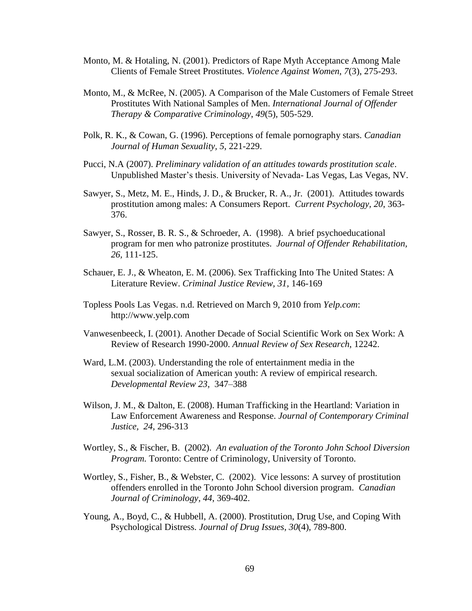- Monto, M. & Hotaling, N. (2001). Predictors of Rape Myth Acceptance Among Male Clients of Female Street Prostitutes. *Violence Against Women*, *7*(3), 275-293.
- Monto, M., & McRee, N. (2005). A Comparison of the Male Customers of Female Street Prostitutes With National Samples of Men. *International Journal of Offender Therapy & Comparative Criminology*, *49*(5), 505-529.
- Polk, R. K., & Cowan, G. (1996). Perceptions of female pornography stars. *Canadian Journal of Human Sexuality, 5*, 221-229.
- Pucci, N.A (2007). *Preliminary validation of an attitudes towards prostitution scale*. Unpublished Master's thesis. University of Nevada- Las Vegas, Las Vegas, NV.
- Sawyer, S., Metz, M. E., Hinds, J. D., & Brucker, R. A., Jr. (2001). Attitudes towards prostitution among males: A Consumers Report. *Current Psychology, 20*, 363- 376.
- Sawyer, S., Rosser, B. R. S., & Schroeder, A. (1998). A brief psychoeducational program for men who patronize prostitutes. *Journal of Offender Rehabilitation, 26,* 111-125.
- Schauer, E. J., & Wheaton, E. M. (2006). Sex Trafficking Into The United States: A Literature Review. *Criminal Justice Review, 31,* 146-169
- Topless Pools Las Vegas. n.d. Retrieved on March 9, 2010 from *Yelp.com*: http://www.yelp.com
- Vanwesenbeeck, I. (2001). Another Decade of Social Scientific Work on Sex Work: A Review of Research 1990-2000. *Annual Review of Sex Research*, 12242.
- Ward, L.M. (2003). Understanding the role of entertainment media in the sexual socialization of American youth: A review of empirical research. *Developmental Review 23,* 347–388
- Wilson, J. M., & Dalton, E. (2008). Human Trafficking in the Heartland: Variation in Law Enforcement Awareness and Response. *Journal of Contemporary Criminal Justice, 24,* 296-313
- Wortley, S., & Fischer, B. (2002). *An evaluation of the Toronto John School Diversion Program.* Toronto: Centre of Criminology, University of Toronto.
- Wortley, S., Fisher, B., & Webster, C. (2002). Vice lessons: A survey of prostitution offenders enrolled in the Toronto John School diversion program. *Canadian Journal of Criminology, 44*, 369-402.
- Young, A., Boyd, C., & Hubbell, A. (2000). Prostitution, Drug Use, and Coping With Psychological Distress. *Journal of Drug Issues*, *30*(4), 789-800.